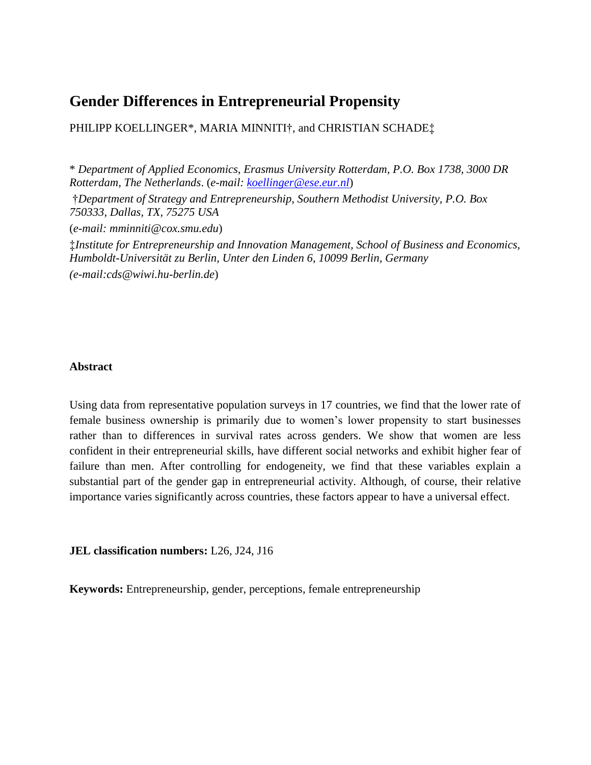# **Gender Differences in Entrepreneurial Propensity**

PHILIPP KOELLINGER\*, MARIA MINNITI†, and CHRISTIAN SCHADE<sup>†</sup>.

\* *Department of Applied Economics, Erasmus University Rotterdam, P.O. Box 1738, 3000 DR Rotterdam, The Netherlands*. (*e-mail: [koellinger@ese.eur.nl](mailto:koellinger@ese.eur.nl)*) †*Department of Strategy and Entrepreneurship, Southern Methodist University, P.O. Box 750333, Dallas, TX, 75275 USA* (*e-mail: mminniti@cox.smu.edu*) ‡*Institute for Entrepreneurship and Innovation Management, School of Business and Economics, Humboldt-Universität zu Berlin, Unter den Linden 6, 10099 Berlin, Germany (e-mail:cds@wiwi.hu-berlin.de*)

#### **Abstract**

Using data from representative population surveys in 17 countries, we find that the lower rate of female business ownership is primarily due to women's lower propensity to start businesses rather than to differences in survival rates across genders. We show that women are less confident in their entrepreneurial skills, have different social networks and exhibit higher fear of failure than men. After controlling for endogeneity, we find that these variables explain a substantial part of the gender gap in entrepreneurial activity. Although, of course, their relative importance varies significantly across countries, these factors appear to have a universal effect.

**JEL classification numbers:** L26, J24, J16

**Keywords:** Entrepreneurship, gender, perceptions, female entrepreneurship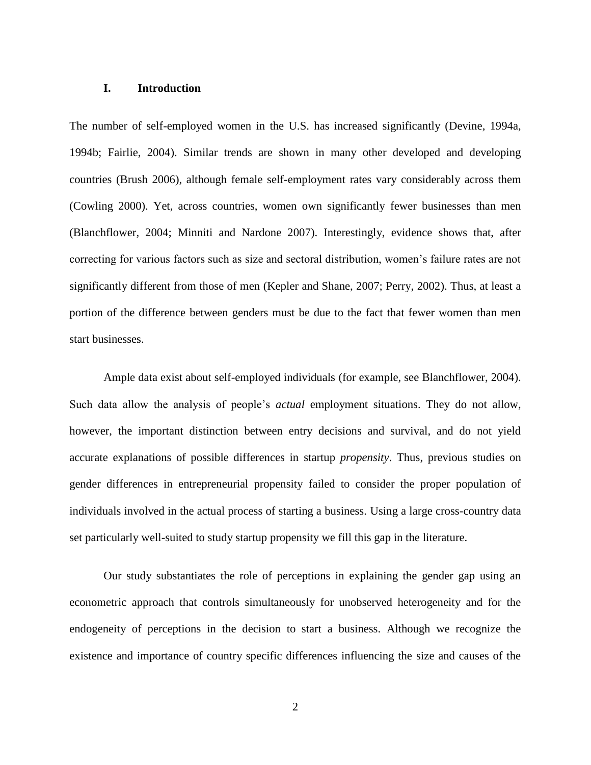#### **I. Introduction**

The number of self-employed women in the U.S. has increased significantly (Devine, 1994a, 1994b; Fairlie, 2004). Similar trends are shown in many other developed and developing countries (Brush 2006), although female self-employment rates vary considerably across them (Cowling 2000). Yet, across countries, women own significantly fewer businesses than men (Blanchflower, 2004; Minniti and Nardone 2007). Interestingly, evidence shows that, after correcting for various factors such as size and sectoral distribution, women's failure rates are not significantly different from those of men (Kepler and Shane, 2007; Perry, 2002). Thus, at least a portion of the difference between genders must be due to the fact that fewer women than men start businesses.

Ample data exist about self-employed individuals (for example, see Blanchflower, 2004). Such data allow the analysis of people's *actual* employment situations. They do not allow, however, the important distinction between entry decisions and survival, and do not yield accurate explanations of possible differences in startup *propensity*. Thus, previous studies on gender differences in entrepreneurial propensity failed to consider the proper population of individuals involved in the actual process of starting a business. Using a large cross-country data set particularly well-suited to study startup propensity we fill this gap in the literature.

Our study substantiates the role of perceptions in explaining the gender gap using an econometric approach that controls simultaneously for unobserved heterogeneity and for the endogeneity of perceptions in the decision to start a business. Although we recognize the existence and importance of country specific differences influencing the size and causes of the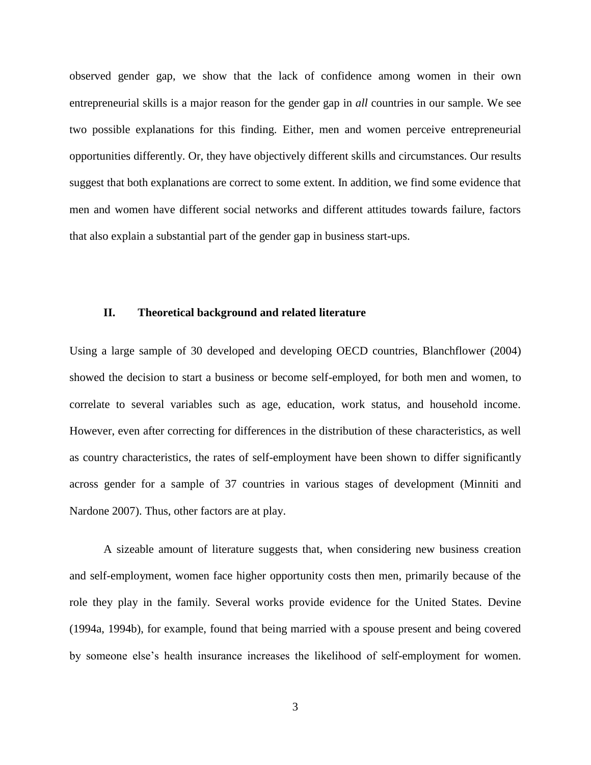observed gender gap, we show that the lack of confidence among women in their own entrepreneurial skills is a major reason for the gender gap in *all* countries in our sample. We see two possible explanations for this finding. Either, men and women perceive entrepreneurial opportunities differently. Or, they have objectively different skills and circumstances. Our results suggest that both explanations are correct to some extent. In addition, we find some evidence that men and women have different social networks and different attitudes towards failure, factors that also explain a substantial part of the gender gap in business start-ups.

#### **II. Theoretical background and related literature**

Using a large sample of 30 developed and developing OECD countries, Blanchflower (2004) showed the decision to start a business or become self-employed, for both men and women, to correlate to several variables such as age, education, work status, and household income. However, even after correcting for differences in the distribution of these characteristics, as well as country characteristics, the rates of self-employment have been shown to differ significantly across gender for a sample of 37 countries in various stages of development (Minniti and Nardone 2007). Thus, other factors are at play.

A sizeable amount of literature suggests that, when considering new business creation and self-employment, women face higher opportunity costs then men, primarily because of the role they play in the family. Several works provide evidence for the United States. Devine (1994a, 1994b), for example, found that being married with a spouse present and being covered by someone else's health insurance increases the likelihood of self-employment for women.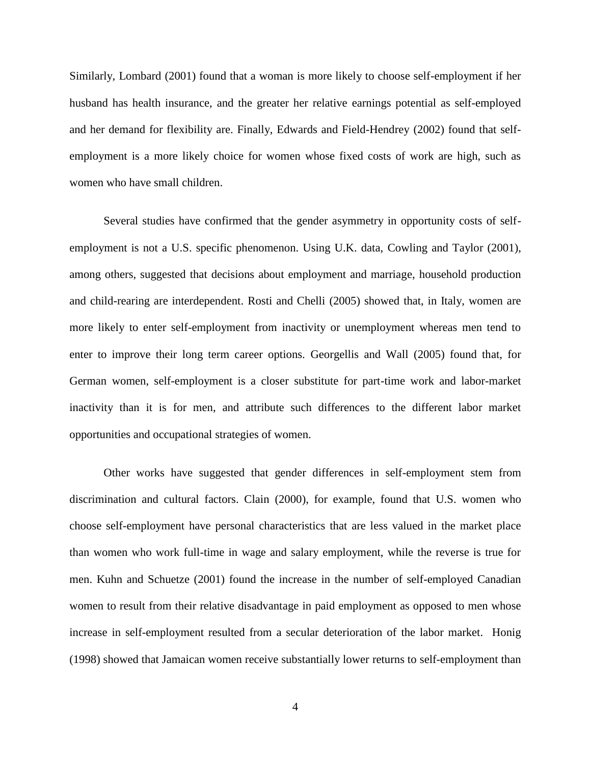Similarly, Lombard (2001) found that a woman is more likely to choose self-employment if her husband has health insurance, and the greater her relative earnings potential as self-employed and her demand for flexibility are. Finally, Edwards and Field-Hendrey (2002) found that selfemployment is a more likely choice for women whose fixed costs of work are high, such as women who have small children.

Several studies have confirmed that the gender asymmetry in opportunity costs of selfemployment is not a U.S. specific phenomenon. Using U.K. data, Cowling and Taylor (2001), among others, suggested that decisions about employment and marriage, household production and child-rearing are interdependent. Rosti and Chelli (2005) showed that, in Italy, women are more likely to enter self-employment from inactivity or unemployment whereas men tend to enter to improve their long term career options. Georgellis and Wall (2005) found that, for German women, self-employment is a closer substitute for part-time work and labor-market inactivity than it is for men, and attribute such differences to the different labor market opportunities and occupational strategies of women.

Other works have suggested that gender differences in self-employment stem from discrimination and cultural factors. Clain (2000), for example, found that U.S. women who choose self-employment have personal characteristics that are less valued in the market place than women who work full-time in wage and salary employment, while the reverse is true for men. Kuhn and Schuetze (2001) found the increase in the number of self-employed Canadian women to result from their relative disadvantage in paid employment as opposed to men whose increase in self-employment resulted from a secular deterioration of the labor market. Honig (1998) showed that Jamaican women receive substantially lower returns to self-employment than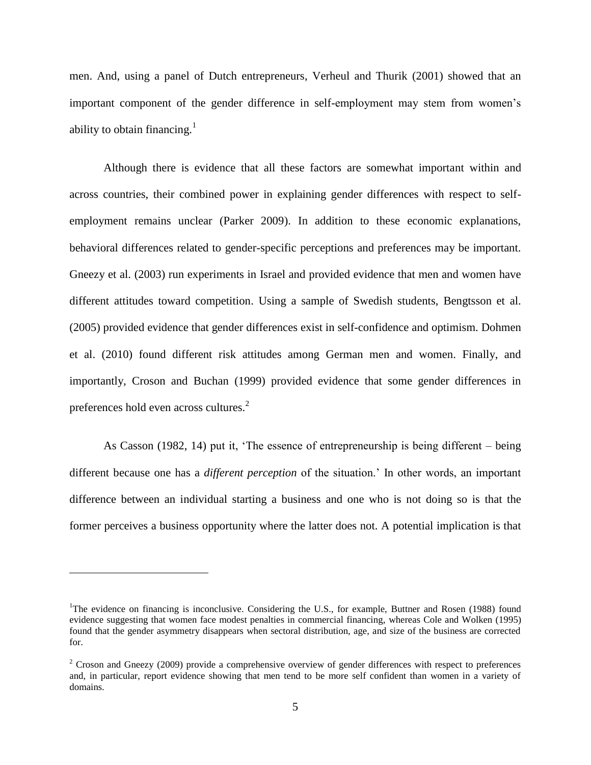men. And, using a panel of Dutch entrepreneurs, Verheul and Thurik (2001) showed that an important component of the gender difference in self-employment may stem from women's ability to obtain financing.<sup>1</sup>

Although there is evidence that all these factors are somewhat important within and across countries, their combined power in explaining gender differences with respect to selfemployment remains unclear (Parker 2009). In addition to these economic explanations, behavioral differences related to gender-specific perceptions and preferences may be important. Gneezy et al. (2003) run experiments in Israel and provided evidence that men and women have different attitudes toward competition. Using a sample of Swedish students, Bengtsson et al. (2005) provided evidence that gender differences exist in self-confidence and optimism. Dohmen et al. (2010) found different risk attitudes among German men and women. Finally, and importantly, Croson and Buchan (1999) provided evidence that some gender differences in preferences hold even across cultures.<sup>2</sup>

As Casson (1982, 14) put it, 'The essence of entrepreneurship is being different – being different because one has a *different perception* of the situation.' In other words, an important difference between an individual starting a business and one who is not doing so is that the former perceives a business opportunity where the latter does not. A potential implication is that

<u>.</u>

<sup>&</sup>lt;sup>1</sup>The evidence on financing is inconclusive. Considering the U.S., for example, Buttner and Rosen (1988) found evidence suggesting that women face modest penalties in commercial financing, whereas Cole and Wolken (1995) found that the gender asymmetry disappears when sectoral distribution, age, and size of the business are corrected for.

<sup>&</sup>lt;sup>2</sup> Croson and Gneezy (2009) provide a comprehensive overview of gender differences with respect to preferences and, in particular, report evidence showing that men tend to be more self confident than women in a variety of domains.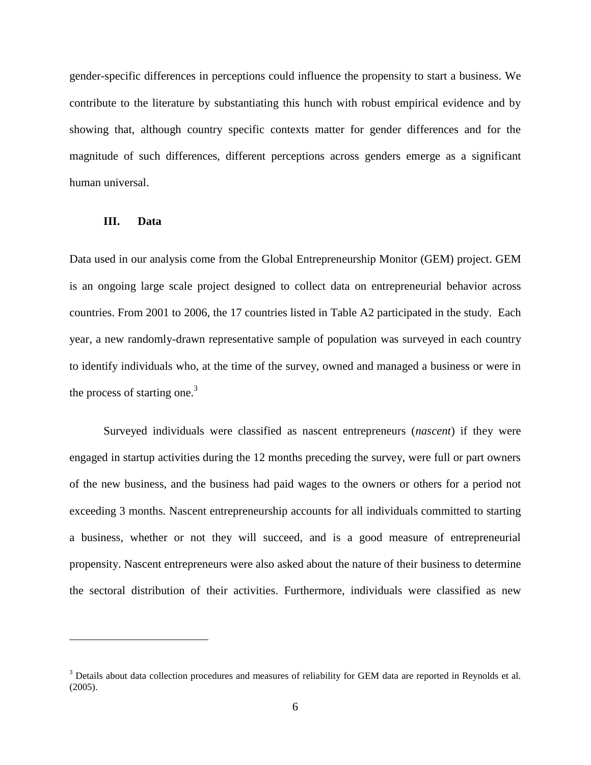gender-specific differences in perceptions could influence the propensity to start a business. We contribute to the literature by substantiating this hunch with robust empirical evidence and by showing that, although country specific contexts matter for gender differences and for the magnitude of such differences, different perceptions across genders emerge as a significant human universal.

#### **III. Data**

<u>.</u>

Data used in our analysis come from the Global Entrepreneurship Monitor (GEM) project. GEM is an ongoing large scale project designed to collect data on entrepreneurial behavior across countries. From 2001 to 2006, the 17 countries listed in Table A2 participated in the study. Each year, a new randomly-drawn representative sample of population was surveyed in each country to identify individuals who, at the time of the survey, owned and managed a business or were in the process of starting one.<sup>3</sup>

Surveyed individuals were classified as nascent entrepreneurs (*nascent*) if they were engaged in startup activities during the 12 months preceding the survey, were full or part owners of the new business, and the business had paid wages to the owners or others for a period not exceeding 3 months. Nascent entrepreneurship accounts for all individuals committed to starting a business, whether or not they will succeed, and is a good measure of entrepreneurial propensity. Nascent entrepreneurs were also asked about the nature of their business to determine the sectoral distribution of their activities. Furthermore, individuals were classified as new

<sup>&</sup>lt;sup>3</sup> Details about data collection procedures and measures of reliability for GEM data are reported in Reynolds et al. (2005).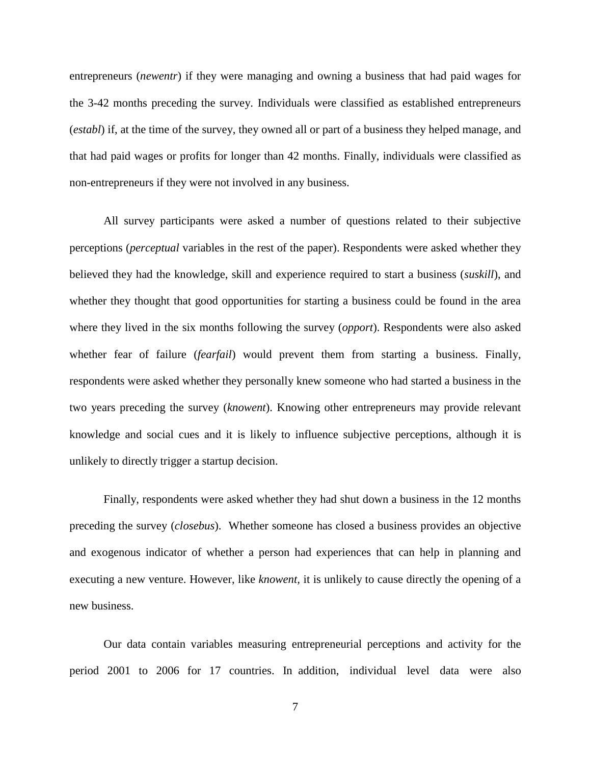entrepreneurs (*newentr*) if they were managing and owning a business that had paid wages for the 3-42 months preceding the survey. Individuals were classified as established entrepreneurs (*establ*) if, at the time of the survey, they owned all or part of a business they helped manage, and that had paid wages or profits for longer than 42 months. Finally, individuals were classified as non-entrepreneurs if they were not involved in any business.

All survey participants were asked a number of questions related to their subjective perceptions (*perceptual* variables in the rest of the paper). Respondents were asked whether they believed they had the knowledge, skill and experience required to start a business (*suskill*), and whether they thought that good opportunities for starting a business could be found in the area where they lived in the six months following the survey (*opport*). Respondents were also asked whether fear of failure (*fearfail*) would prevent them from starting a business. Finally, respondents were asked whether they personally knew someone who had started a business in the two years preceding the survey (*knowent*). Knowing other entrepreneurs may provide relevant knowledge and social cues and it is likely to influence subjective perceptions, although it is unlikely to directly trigger a startup decision.

Finally, respondents were asked whether they had shut down a business in the 12 months preceding the survey (*closebus*). Whether someone has closed a business provides an objective and exogenous indicator of whether a person had experiences that can help in planning and executing a new venture. However, like *knowent,* it is unlikely to cause directly the opening of a new business.

Our data contain variables measuring entrepreneurial perceptions and activity for the period 2001 to 2006 for 17 countries. In addition, individual level data were also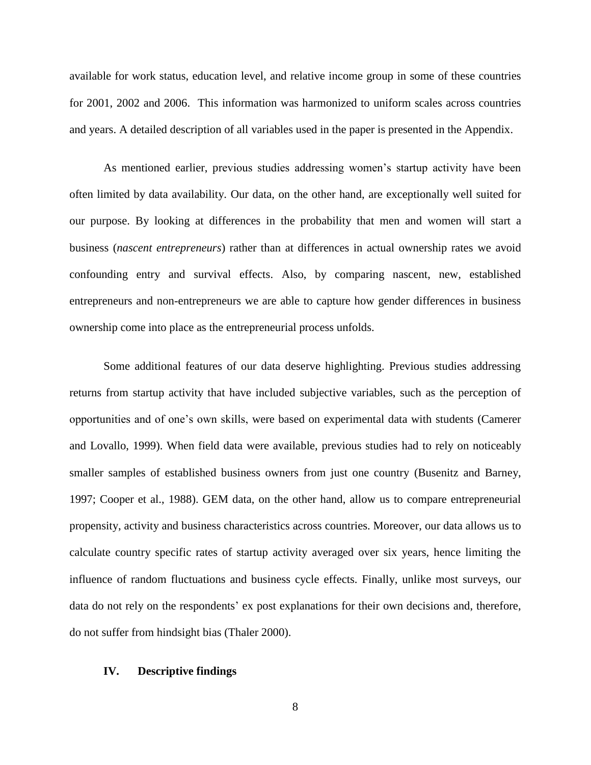available for work status, education level, and relative income group in some of these countries for 2001, 2002 and 2006. This information was harmonized to uniform scales across countries and years. A detailed description of all variables used in the paper is presented in the Appendix.

As mentioned earlier, previous studies addressing women's startup activity have been often limited by data availability. Our data, on the other hand, are exceptionally well suited for our purpose. By looking at differences in the probability that men and women will start a business (*nascent entrepreneurs*) rather than at differences in actual ownership rates we avoid confounding entry and survival effects. Also, by comparing nascent, new, established entrepreneurs and non-entrepreneurs we are able to capture how gender differences in business ownership come into place as the entrepreneurial process unfolds.

Some additional features of our data deserve highlighting. Previous studies addressing returns from startup activity that have included subjective variables, such as the perception of opportunities and of one's own skills, were based on experimental data with students (Camerer and Lovallo, 1999). When field data were available, previous studies had to rely on noticeably smaller samples of established business owners from just one country (Busenitz and Barney, 1997; Cooper et al., 1988). GEM data, on the other hand, allow us to compare entrepreneurial propensity, activity and business characteristics across countries. Moreover, our data allows us to calculate country specific rates of startup activity averaged over six years, hence limiting the influence of random fluctuations and business cycle effects. Finally, unlike most surveys, our data do not rely on the respondents' ex post explanations for their own decisions and, therefore, do not suffer from hindsight bias (Thaler 2000).

#### **IV. Descriptive findings**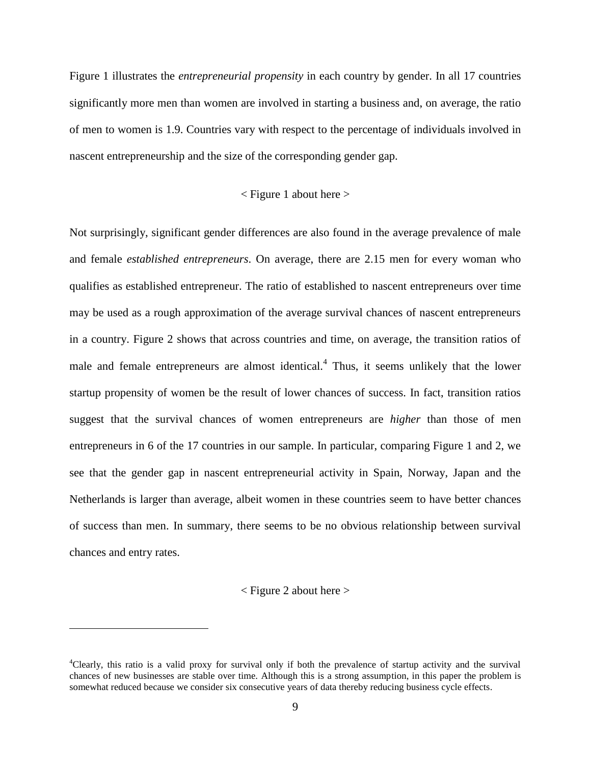Figure 1 illustrates the *entrepreneurial propensity* in each country by gender. In all 17 countries significantly more men than women are involved in starting a business and, on average, the ratio of men to women is 1.9. Countries vary with respect to the percentage of individuals involved in nascent entrepreneurship and the size of the corresponding gender gap.

#### $\leq$  Figure 1 about here  $>$

Not surprisingly, significant gender differences are also found in the average prevalence of male and female *established entrepreneurs*. On average, there are 2.15 men for every woman who qualifies as established entrepreneur. The ratio of established to nascent entrepreneurs over time may be used as a rough approximation of the average survival chances of nascent entrepreneurs in a country. Figure 2 shows that across countries and time, on average, the transition ratios of male and female entrepreneurs are almost identical.<sup>4</sup> Thus, it seems unlikely that the lower startup propensity of women be the result of lower chances of success. In fact, transition ratios suggest that the survival chances of women entrepreneurs are *higher* than those of men entrepreneurs in 6 of the 17 countries in our sample. In particular, comparing Figure 1 and 2, we see that the gender gap in nascent entrepreneurial activity in Spain, Norway, Japan and the Netherlands is larger than average, albeit women in these countries seem to have better chances of success than men. In summary, there seems to be no obvious relationship between survival chances and entry rates.

#### $\langle$  Figure 2 about here  $>$

1

<sup>4</sup>Clearly, this ratio is a valid proxy for survival only if both the prevalence of startup activity and the survival chances of new businesses are stable over time. Although this is a strong assumption, in this paper the problem is somewhat reduced because we consider six consecutive years of data thereby reducing business cycle effects.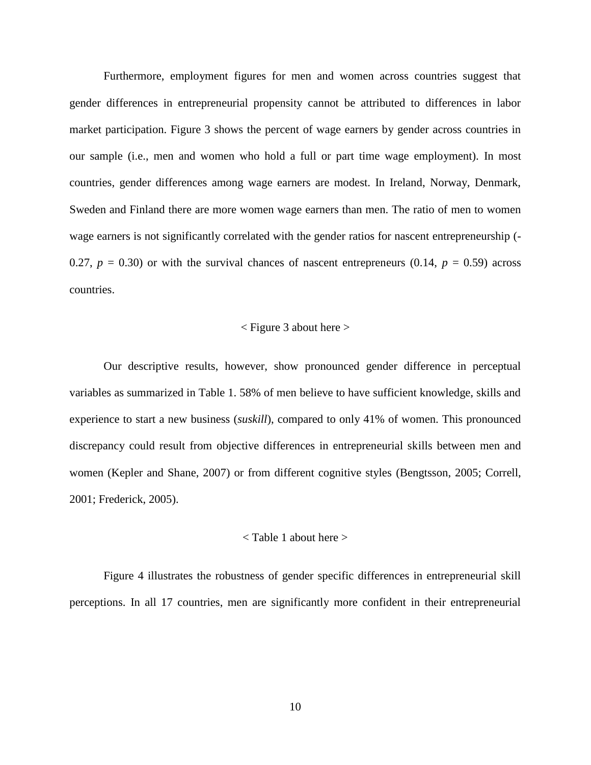Furthermore, employment figures for men and women across countries suggest that gender differences in entrepreneurial propensity cannot be attributed to differences in labor market participation. Figure 3 shows the percent of wage earners by gender across countries in our sample (i.e., men and women who hold a full or part time wage employment). In most countries, gender differences among wage earners are modest. In Ireland, Norway, Denmark, Sweden and Finland there are more women wage earners than men. The ratio of men to women wage earners is not significantly correlated with the gender ratios for nascent entrepreneurship (- 0.27,  $p = 0.30$  or with the survival chances of nascent entrepreneurs (0.14,  $p = 0.59$ ) across countries.

### $\langle$  Figure 3 about here  $>$

Our descriptive results, however, show pronounced gender difference in perceptual variables as summarized in Table 1. 58% of men believe to have sufficient knowledge, skills and experience to start a new business (*suskill*), compared to only 41% of women. This pronounced discrepancy could result from objective differences in entrepreneurial skills between men and women (Kepler and Shane, 2007) or from different cognitive styles (Bengtsson, 2005; Correll, 2001; Frederick, 2005).

#### < Table 1 about here >

Figure 4 illustrates the robustness of gender specific differences in entrepreneurial skill perceptions. In all 17 countries, men are significantly more confident in their entrepreneurial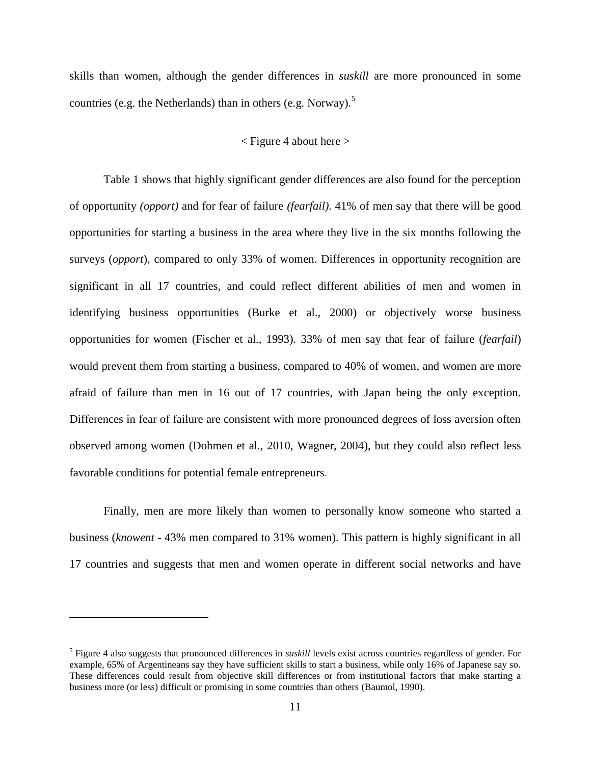skills than women, although the gender differences in *suskill* are more pronounced in some countries (e.g. the Netherlands) than in others (e.g. Norway).<sup>5</sup>

#### $\langle$  Figure 4 about here  $>$

Table 1 shows that highly significant gender differences are also found for the perception of opportunity *(opport)* and for fear of failure *(fearfail)*. 41% of men say that there will be good opportunities for starting a business in the area where they live in the six months following the surveys (*opport*), compared to only 33% of women. Differences in opportunity recognition are significant in all 17 countries, and could reflect different abilities of men and women in identifying business opportunities (Burke et al., 2000) or objectively worse business opportunities for women (Fischer et al., 1993). 33% of men say that fear of failure (*fearfail*) would prevent them from starting a business, compared to 40% of women, and women are more afraid of failure than men in 16 out of 17 countries, with Japan being the only exception. Differences in fear of failure are consistent with more pronounced degrees of loss aversion often observed among women (Dohmen et al., 2010, Wagner, 2004), but they could also reflect less favorable conditions for potential female entrepreneurs.

Finally, men are more likely than women to personally know someone who started a business (*knowent* - 43% men compared to 31% women). This pattern is highly significant in all 17 countries and suggests that men and women operate in different social networks and have

<u>.</u>

<sup>5</sup> Figure 4 also suggests that pronounced differences in *suskill* levels exist across countries regardless of gender. For example, 65% of Argentineans say they have sufficient skills to start a business, while only 16% of Japanese say so. These differences could result from objective skill differences or from institutional factors that make starting a business more (or less) difficult or promising in some countries than others (Baumol, 1990).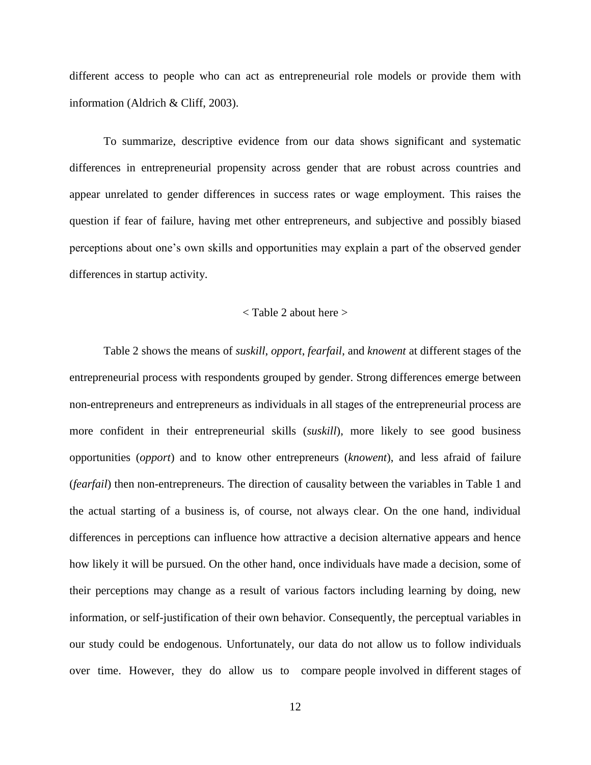different access to people who can act as entrepreneurial role models or provide them with information (Aldrich & Cliff, 2003).

To summarize, descriptive evidence from our data shows significant and systematic differences in entrepreneurial propensity across gender that are robust across countries and appear unrelated to gender differences in success rates or wage employment. This raises the question if fear of failure, having met other entrepreneurs, and subjective and possibly biased perceptions about one's own skills and opportunities may explain a part of the observed gender differences in startup activity.

### < Table 2 about here >

Table 2 shows the means of *suskill*, *opport*, *fearfail*, and *knowent* at different stages of the entrepreneurial process with respondents grouped by gender. Strong differences emerge between non-entrepreneurs and entrepreneurs as individuals in all stages of the entrepreneurial process are more confident in their entrepreneurial skills (*suskill*), more likely to see good business opportunities (*opport*) and to know other entrepreneurs (*knowent*), and less afraid of failure (*fearfail*) then non-entrepreneurs. The direction of causality between the variables in Table 1 and the actual starting of a business is, of course, not always clear. On the one hand, individual differences in perceptions can influence how attractive a decision alternative appears and hence how likely it will be pursued. On the other hand, once individuals have made a decision, some of their perceptions may change as a result of various factors including learning by doing, new information, or self-justification of their own behavior. Consequently, the perceptual variables in our study could be endogenous. Unfortunately, our data do not allow us to follow individuals over time. However, they do allow us to compare people involved in different stages of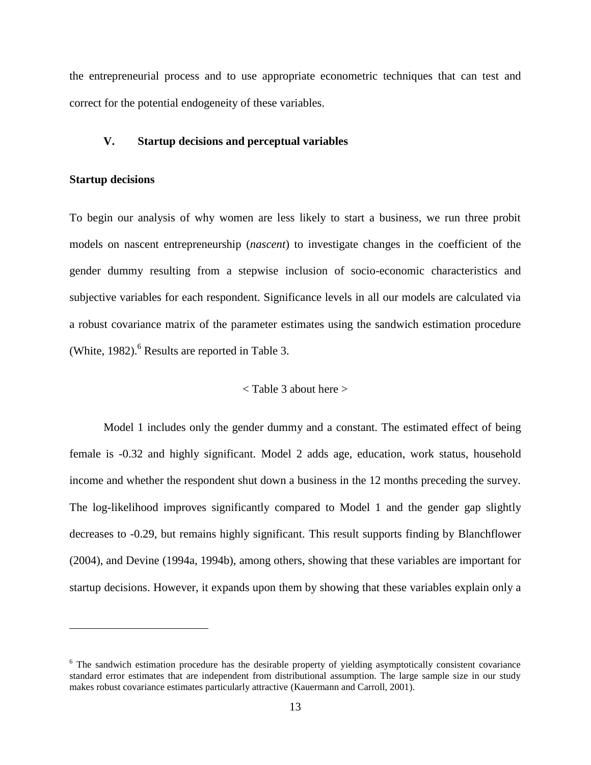the entrepreneurial process and to use appropriate econometric techniques that can test and correct for the potential endogeneity of these variables.

#### **V. Startup decisions and perceptual variables**

#### **Startup decisions**

1

To begin our analysis of why women are less likely to start a business, we run three probit models on nascent entrepreneurship (*nascent*) to investigate changes in the coefficient of the gender dummy resulting from a stepwise inclusion of socio-economic characteristics and subjective variables for each respondent. Significance levels in all our models are calculated via a robust covariance matrix of the parameter estimates using the sandwich estimation procedure (White, 1982). <sup>6</sup> Results are reported in Table 3.

#### < Table 3 about here >

Model 1 includes only the gender dummy and a constant. The estimated effect of being female is -0.32 and highly significant. Model 2 adds age, education, work status, household income and whether the respondent shut down a business in the 12 months preceding the survey. The log-likelihood improves significantly compared to Model 1 and the gender gap slightly decreases to -0.29, but remains highly significant. This result supports finding by Blanchflower (2004), and Devine (1994a, 1994b), among others, showing that these variables are important for startup decisions. However, it expands upon them by showing that these variables explain only a

<sup>&</sup>lt;sup>6</sup> The sandwich estimation procedure has the desirable property of yielding asymptotically consistent covariance standard error estimates that are independent from distributional assumption. The large sample size in our study makes robust covariance estimates particularly attractive (Kauermann and Carroll, 2001).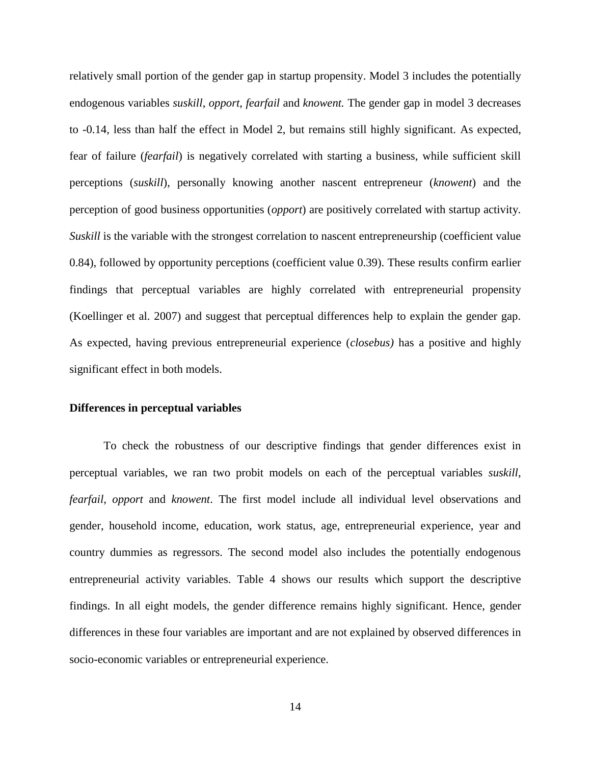relatively small portion of the gender gap in startup propensity. Model 3 includes the potentially endogenous variables *suskill*, *opport*, *fearfail* and *knowent.* The gender gap in model 3 decreases to -0.14, less than half the effect in Model 2, but remains still highly significant. As expected, fear of failure (*fearfail*) is negatively correlated with starting a business, while sufficient skill perceptions (*suskill*), personally knowing another nascent entrepreneur (*knowent*) and the perception of good business opportunities (*opport*) are positively correlated with startup activity. *Suskill* is the variable with the strongest correlation to nascent entrepreneurship (coefficient value 0.84), followed by opportunity perceptions (coefficient value 0.39). These results confirm earlier findings that perceptual variables are highly correlated with entrepreneurial propensity (Koellinger et al. 2007) and suggest that perceptual differences help to explain the gender gap. As expected, having previous entrepreneurial experience (*closebus)* has a positive and highly significant effect in both models.

#### **Differences in perceptual variables**

To check the robustness of our descriptive findings that gender differences exist in perceptual variables, we ran two probit models on each of the perceptual variables *suskill*, *fearfail*, *opport* and *knowent*. The first model include all individual level observations and gender, household income, education, work status, age, entrepreneurial experience, year and country dummies as regressors. The second model also includes the potentially endogenous entrepreneurial activity variables. Table 4 shows our results which support the descriptive findings. In all eight models, the gender difference remains highly significant. Hence, gender differences in these four variables are important and are not explained by observed differences in socio-economic variables or entrepreneurial experience.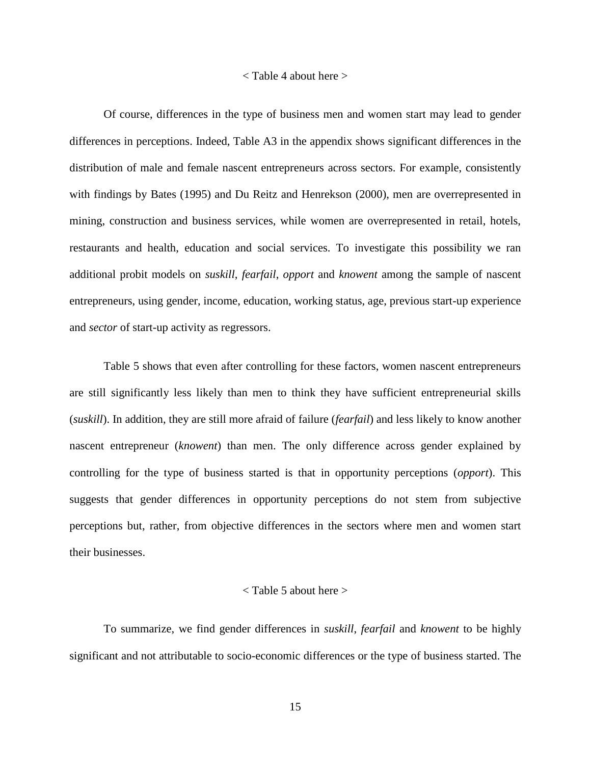#### < Table 4 about here >

Of course, differences in the type of business men and women start may lead to gender differences in perceptions. Indeed, Table A3 in the appendix shows significant differences in the distribution of male and female nascent entrepreneurs across sectors. For example, consistently with findings by Bates (1995) and Du Reitz and Henrekson (2000), men are overrepresented in mining, construction and business services, while women are overrepresented in retail, hotels, restaurants and health, education and social services. To investigate this possibility we ran additional probit models on *suskill*, *fearfail*, *opport* and *knowent* among the sample of nascent entrepreneurs, using gender, income, education, working status, age, previous start-up experience and *sector* of start-up activity as regressors.

Table 5 shows that even after controlling for these factors, women nascent entrepreneurs are still significantly less likely than men to think they have sufficient entrepreneurial skills (*suskill*). In addition, they are still more afraid of failure (*fearfail*) and less likely to know another nascent entrepreneur (*knowent*) than men. The only difference across gender explained by controlling for the type of business started is that in opportunity perceptions (*opport*). This suggests that gender differences in opportunity perceptions do not stem from subjective perceptions but, rather, from objective differences in the sectors where men and women start their businesses.

#### < Table 5 about here >

To summarize, we find gender differences in *suskill*, *fearfail* and *knowent* to be highly significant and not attributable to socio-economic differences or the type of business started. The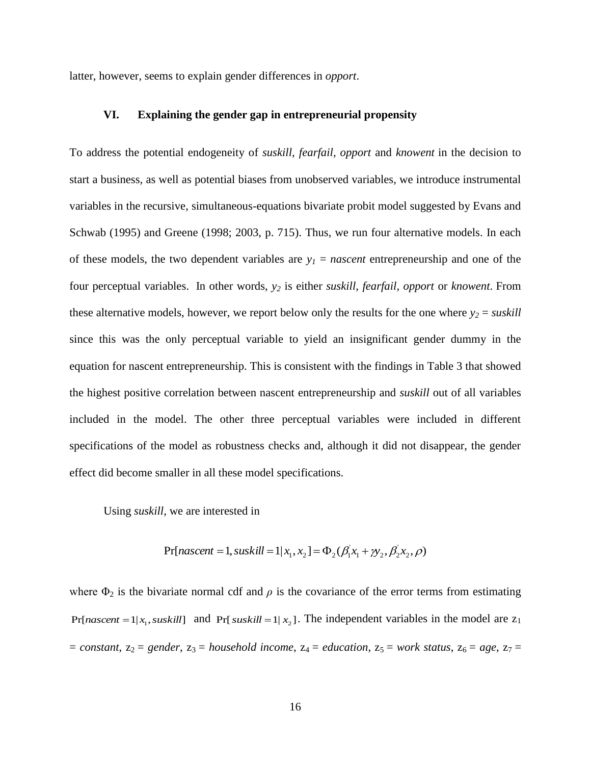latter, however, seems to explain gender differences in *opport*.

#### **VI. Explaining the gender gap in entrepreneurial propensity**

To address the potential endogeneity of *suskill*, *fearfail, opport* and *knowent* in the decision to start a business, as well as potential biases from unobserved variables, we introduce instrumental variables in the recursive, simultaneous-equations bivariate probit model suggested by Evans and Schwab (1995) and Greene (1998; 2003, p. 715). Thus, we run four alternative models. In each of these models, the two dependent variables are  $y<sub>I</sub> = nascent$  entrepreneurship and one of the four perceptual variables. In other words, *y<sup>2</sup>* is either *suskill, fearfail, opport* or *knowent*. From these alternative models, however, we report below only the results for the one where  $y_2 =$  *suskill* since this was the only perceptual variable to yield an insignificant gender dummy in the equation for nascent entrepreneurship. This is consistent with the findings in Table 3 that showed the highest positive correlation between nascent entrepreneurship and *suskill* out of all variables included in the model. The other three perceptual variables were included in different specifications of the model as robustness checks and, although it did not disappear, the gender effect did become smaller in all these model specifications.

Using *suskill,* we are interested in

$$
Pr[nascent = 1, suskill = 1 | x_1, x_2] = \Phi_2(\beta_1 x_1 + \gamma_2, \beta_2 x_2, \rho)
$$

where  $\Phi_2$  is the bivariate normal cdf and  $\rho$  is the covariance of the error terms from estimating  $Pr[nascent = 1 | x_1, suskill]$  and  $Pr[suskill = 1 | x_2]$ . The independent variables in the model are  $z_1$  $=$  *constant*,  $z_2$  = *gender*,  $z_3$  = *household income*,  $z_4$  = *education*,  $z_5$  = *work status*,  $z_6$  = *age*,  $z_7$  =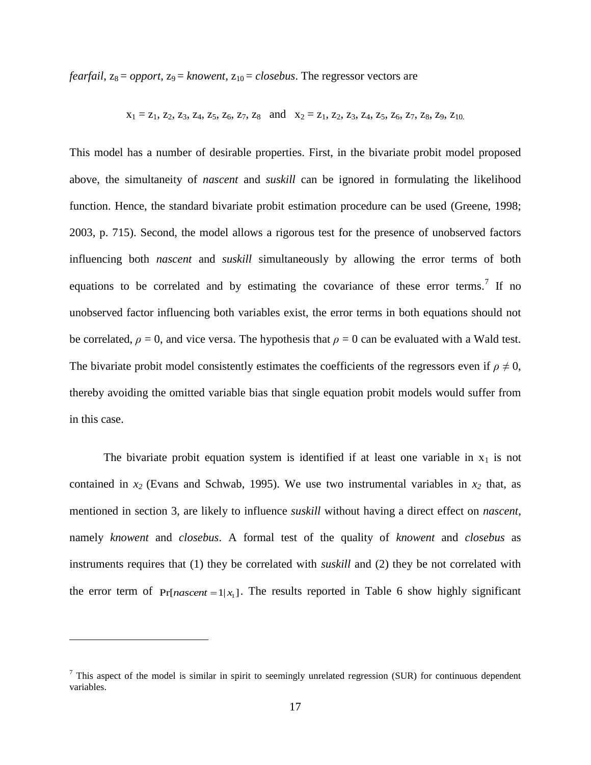*fearfail*,  $z_8 =$  *opport*,  $z_9 =$  *knowent*,  $z_{10} =$  *closebus*. The regressor vectors are

$$
x_1 = z_1
$$
,  $z_2$ ,  $z_3$ ,  $z_4$ ,  $z_5$ ,  $z_6$ ,  $z_7$ ,  $z_8$  and  $x_2 = z_1$ ,  $z_2$ ,  $z_3$ ,  $z_4$ ,  $z_5$ ,  $z_6$ ,  $z_7$ ,  $z_8$ ,  $z_9$ ,  $z_{10}$ .

This model has a number of desirable properties. First, in the bivariate probit model proposed above, the simultaneity of *nascent* and *suskill* can be ignored in formulating the likelihood function. Hence, the standard bivariate probit estimation procedure can be used (Greene, 1998; 2003, p. 715). Second, the model allows a rigorous test for the presence of unobserved factors influencing both *nascent* and *suskill* simultaneously by allowing the error terms of both equations to be correlated and by estimating the covariance of these error terms.<sup>7</sup> If no unobserved factor influencing both variables exist, the error terms in both equations should not be correlated,  $\rho = 0$ , and vice versa. The hypothesis that  $\rho = 0$  can be evaluated with a Wald test. The bivariate probit model consistently estimates the coefficients of the regressors even if  $\rho \neq 0$ , thereby avoiding the omitted variable bias that single equation probit models would suffer from in this case.

The bivariate probit equation system is identified if at least one variable in  $x_1$  is not contained in  $x_2$  (Evans and Schwab, 1995). We use two instrumental variables in  $x_2$  that, as mentioned in section 3, are likely to influence *suskill* without having a direct effect on *nascent*, namely *knowent* and *closebus*. A formal test of the quality of *knowent* and *closebus* as instruments requires that (1) they be correlated with *suskill* and (2) they be not correlated with the error term of  $Pr[*nascent* = 1 | x<sub>1</sub>]$ . The results reported in Table 6 show highly significant

<u>.</u>

 $<sup>7</sup>$  This aspect of the model is similar in spirit to seemingly unrelated regression (SUR) for continuous dependent</sup> variables.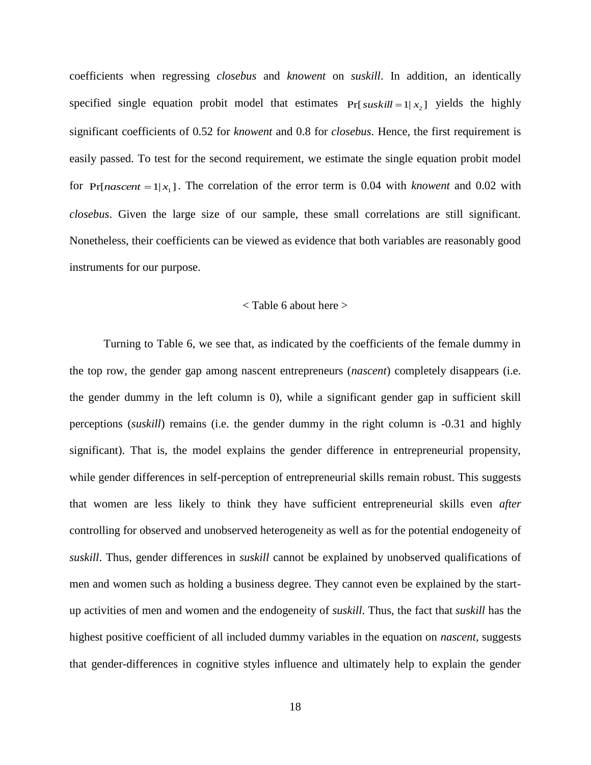coefficients when regressing *closebus* and *knowent* on *suskill*. In addition, an identically specified single equation probit model that estimates  $Pr[suskill = 1 | x_2]$  yields the highly significant coefficients of 0.52 for *knowent* and 0.8 for *closebus*. Hence, the first requirement is easily passed. To test for the second requirement, we estimate the single equation probit model for  $Pr[*nascent* = 1 | x<sub>1</sub>].$  The correlation of the error term is 0.04 with *knowent* and 0.02 with *closebus*. Given the large size of our sample, these small correlations are still significant. Nonetheless, their coefficients can be viewed as evidence that both variables are reasonably good instruments for our purpose.

#### < Table 6 about here >

Turning to Table 6, we see that, as indicated by the coefficients of the female dummy in the top row, the gender gap among nascent entrepreneurs (*nascent*) completely disappears (i.e. the gender dummy in the left column is 0), while a significant gender gap in sufficient skill perceptions (*suskill*) remains (i.e. the gender dummy in the right column is -0.31 and highly significant). That is, the model explains the gender difference in entrepreneurial propensity, while gender differences in self-perception of entrepreneurial skills remain robust. This suggests that women are less likely to think they have sufficient entrepreneurial skills even *after* controlling for observed and unobserved heterogeneity as well as for the potential endogeneity of *suskill*. Thus, gender differences in *suskill* cannot be explained by unobserved qualifications of men and women such as holding a business degree. They cannot even be explained by the startup activities of men and women and the endogeneity of *suskill*. Thus, the fact that *suskill* has the highest positive coefficient of all included dummy variables in the equation on *nascent,* suggests that gender-differences in cognitive styles influence and ultimately help to explain the gender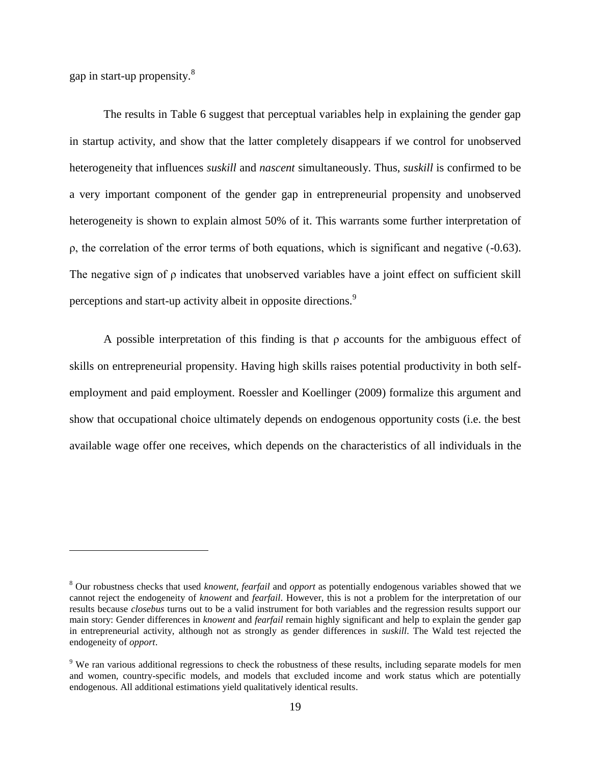gap in start-up propensity.<sup>8</sup>

<u>.</u>

The results in Table 6 suggest that perceptual variables help in explaining the gender gap in startup activity, and show that the latter completely disappears if we control for unobserved heterogeneity that influences *suskill* and *nascent* simultaneously. Thus, *suskill* is confirmed to be a very important component of the gender gap in entrepreneurial propensity and unobserved heterogeneity is shown to explain almost 50% of it. This warrants some further interpretation of ρ, the correlation of the error terms of both equations, which is significant and negative (-0.63). The negative sign of ρ indicates that unobserved variables have a joint effect on sufficient skill perceptions and start-up activity albeit in opposite directions.<sup>9</sup>

A possible interpretation of this finding is that ρ accounts for the ambiguous effect of skills on entrepreneurial propensity. Having high skills raises potential productivity in both selfemployment and paid employment. Roessler and Koellinger (2009) formalize this argument and show that occupational choice ultimately depends on endogenous opportunity costs (i.e. the best available wage offer one receives, which depends on the characteristics of all individuals in the

<sup>8</sup> Our robustness checks that used *knowent, fearfail* and *opport* as potentially endogenous variables showed that we cannot reject the endogeneity of *knowent* and *fearfail*. However, this is not a problem for the interpretation of our results because *closebus* turns out to be a valid instrument for both variables and the regression results support our main story: Gender differences in *knowent* and *fearfail* remain highly significant and help to explain the gender gap in entrepreneurial activity, although not as strongly as gender differences in *suskill*. The Wald test rejected the endogeneity of *opport*.

<sup>9</sup> We ran various additional regressions to check the robustness of these results, including separate models for men and women, country-specific models, and models that excluded income and work status which are potentially endogenous. All additional estimations yield qualitatively identical results.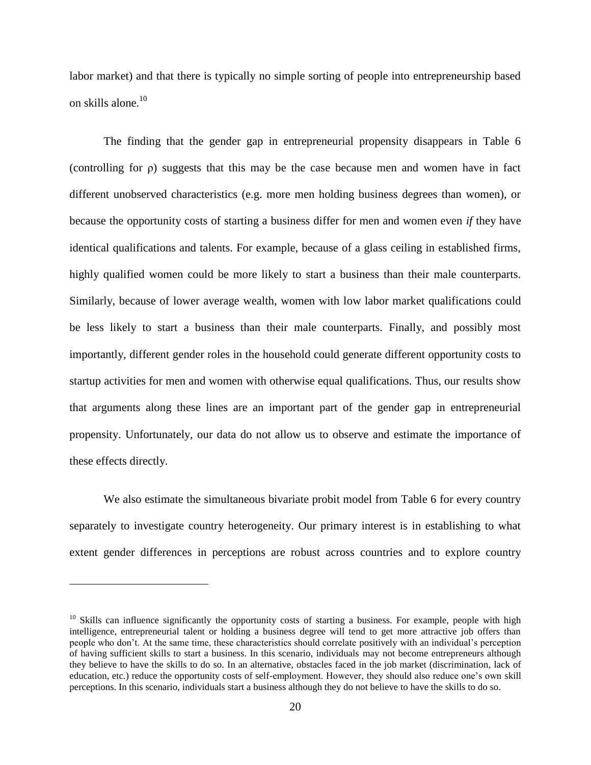labor market) and that there is typically no simple sorting of people into entrepreneurship based on skills alone.<sup>10</sup>

The finding that the gender gap in entrepreneurial propensity disappears in Table 6 (controlling for ρ) suggests that this may be the case because men and women have in fact different unobserved characteristics (e.g. more men holding business degrees than women), or because the opportunity costs of starting a business differ for men and women even *if* they have identical qualifications and talents. For example, because of a glass ceiling in established firms, highly qualified women could be more likely to start a business than their male counterparts. Similarly, because of lower average wealth, women with low labor market qualifications could be less likely to start a business than their male counterparts. Finally, and possibly most importantly, different gender roles in the household could generate different opportunity costs to startup activities for men and women with otherwise equal qualifications. Thus, our results show that arguments along these lines are an important part of the gender gap in entrepreneurial propensity. Unfortunately, our data do not allow us to observe and estimate the importance of these effects directly.

We also estimate the simultaneous bivariate probit model from Table 6 for every country separately to investigate country heterogeneity. Our primary interest is in establishing to what extent gender differences in perceptions are robust across countries and to explore country

<u>.</u>

 $10$  Skills can influence significantly the opportunity costs of starting a business. For example, people with high intelligence, entrepreneurial talent or holding a business degree will tend to get more attractive job offers than people who don't. At the same time, these characteristics should correlate positively with an individual's perception of having sufficient skills to start a business. In this scenario, individuals may not become entrepreneurs although they believe to have the skills to do so. In an alternative, obstacles faced in the job market (discrimination, lack of education, etc.) reduce the opportunity costs of self-employment. However, they should also reduce one's own skill perceptions. In this scenario, individuals start a business although they do not believe to have the skills to do so.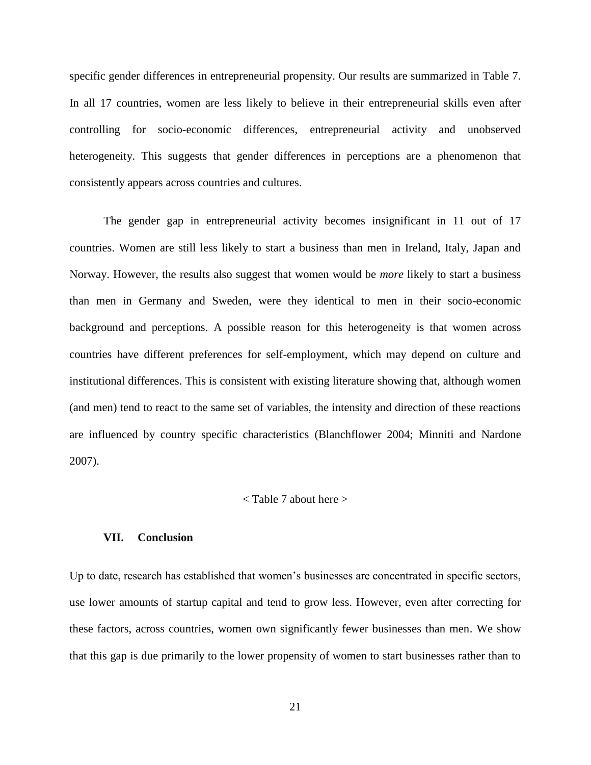specific gender differences in entrepreneurial propensity. Our results are summarized in Table 7. In all 17 countries, women are less likely to believe in their entrepreneurial skills even after controlling for socio-economic differences, entrepreneurial activity and unobserved heterogeneity. This suggests that gender differences in perceptions are a phenomenon that consistently appears across countries and cultures.

The gender gap in entrepreneurial activity becomes insignificant in 11 out of 17 countries. Women are still less likely to start a business than men in Ireland, Italy, Japan and Norway. However, the results also suggest that women would be *more* likely to start a business than men in Germany and Sweden, were they identical to men in their socio-economic background and perceptions. A possible reason for this heterogeneity is that women across countries have different preferences for self-employment, which may depend on culture and institutional differences. This is consistent with existing literature showing that, although women (and men) tend to react to the same set of variables, the intensity and direction of these reactions are influenced by country specific characteristics (Blanchflower 2004; Minniti and Nardone 2007).

#### < Table 7 about here >

#### **VII. Conclusion**

Up to date, research has established that women's businesses are concentrated in specific sectors, use lower amounts of startup capital and tend to grow less. However, even after correcting for these factors, across countries, women own significantly fewer businesses than men. We show that this gap is due primarily to the lower propensity of women to start businesses rather than to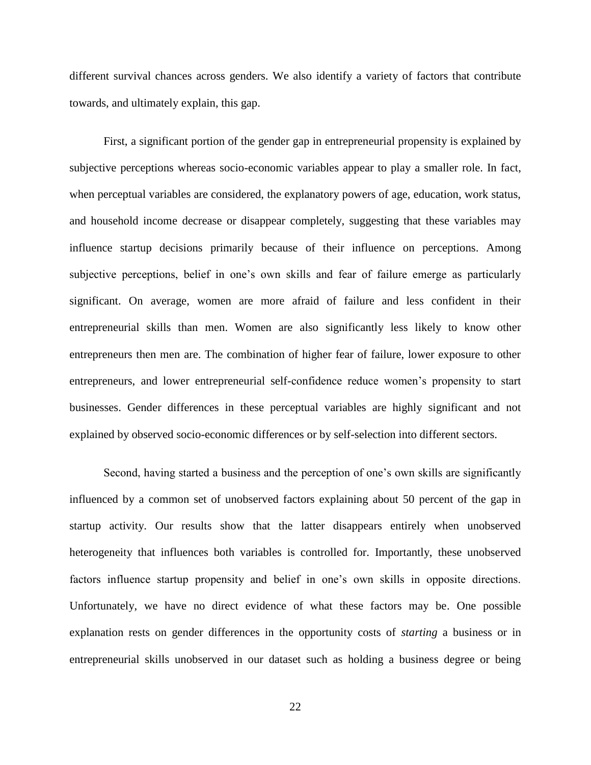different survival chances across genders. We also identify a variety of factors that contribute towards, and ultimately explain, this gap.

First, a significant portion of the gender gap in entrepreneurial propensity is explained by subjective perceptions whereas socio-economic variables appear to play a smaller role. In fact, when perceptual variables are considered, the explanatory powers of age, education, work status, and household income decrease or disappear completely, suggesting that these variables may influence startup decisions primarily because of their influence on perceptions. Among subjective perceptions, belief in one's own skills and fear of failure emerge as particularly significant. On average, women are more afraid of failure and less confident in their entrepreneurial skills than men. Women are also significantly less likely to know other entrepreneurs then men are. The combination of higher fear of failure, lower exposure to other entrepreneurs, and lower entrepreneurial self-confidence reduce women's propensity to start businesses. Gender differences in these perceptual variables are highly significant and not explained by observed socio-economic differences or by self-selection into different sectors.

Second, having started a business and the perception of one's own skills are significantly influenced by a common set of unobserved factors explaining about 50 percent of the gap in startup activity. Our results show that the latter disappears entirely when unobserved heterogeneity that influences both variables is controlled for. Importantly, these unobserved factors influence startup propensity and belief in one's own skills in opposite directions. Unfortunately, we have no direct evidence of what these factors may be. One possible explanation rests on gender differences in the opportunity costs of *starting* a business or in entrepreneurial skills unobserved in our dataset such as holding a business degree or being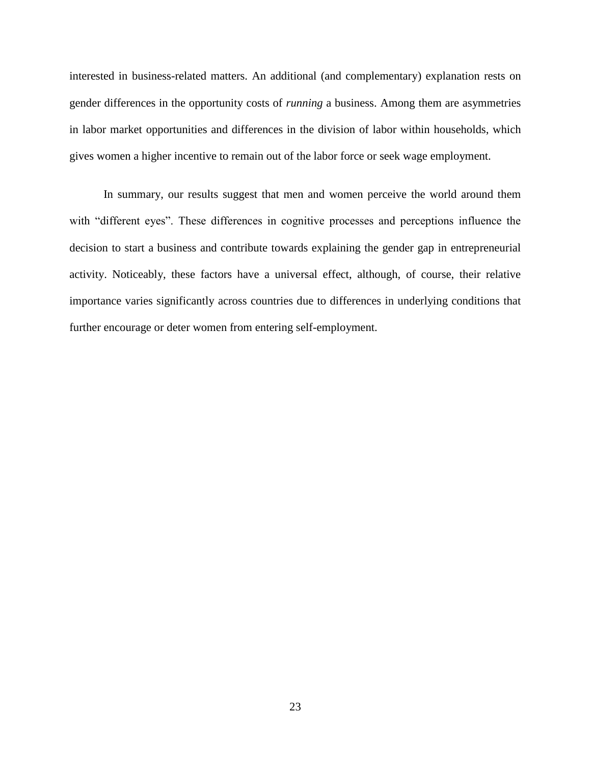interested in business-related matters. An additional (and complementary) explanation rests on gender differences in the opportunity costs of *running* a business. Among them are asymmetries in labor market opportunities and differences in the division of labor within households, which gives women a higher incentive to remain out of the labor force or seek wage employment.

In summary, our results suggest that men and women perceive the world around them with "different eyes". These differences in cognitive processes and perceptions influence the decision to start a business and contribute towards explaining the gender gap in entrepreneurial activity. Noticeably, these factors have a universal effect, although, of course, their relative importance varies significantly across countries due to differences in underlying conditions that further encourage or deter women from entering self-employment.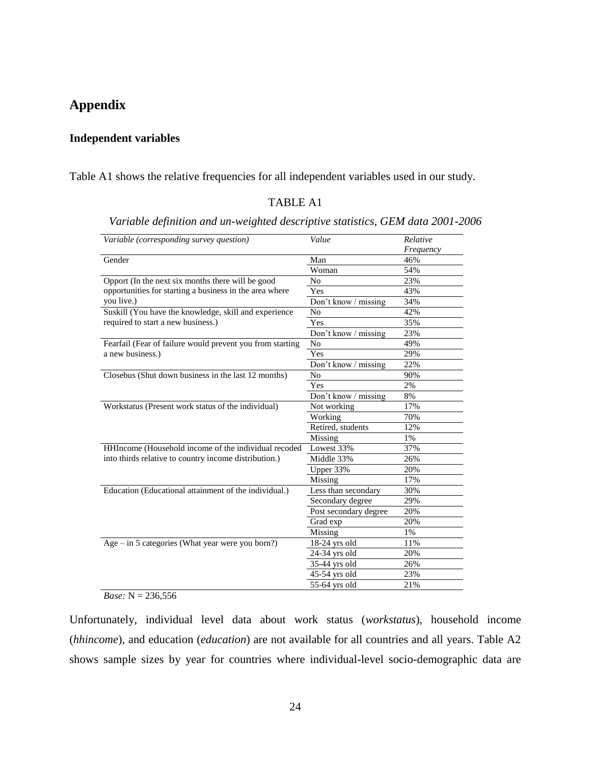# **Appendix**

## **Independent variables**

Table A1 shows the relative frequencies for all independent variables used in our study.

### TABLE A1

| Variable (corresponding survey question)                  | Value                 | Relative<br>Frequency |
|-----------------------------------------------------------|-----------------------|-----------------------|
| Gender                                                    | Man                   | 46%                   |
|                                                           | Woman                 | 54%                   |
| Opport (In the next six months there will be good         | No                    | 23%                   |
| opportunities for starting a business in the area where   | Yes                   | 43%                   |
| you live.)                                                | Don't know / missing  | 34%                   |
| Suskill (You have the knowledge, skill and experience     | No                    | 42%                   |
| required to start a new business.)                        | Yes                   | 35%                   |
|                                                           | Don't know / missing  | 23%                   |
| Fearfail (Fear of failure would prevent you from starting | No                    | 49%                   |
| a new business.)                                          | Yes                   | 29%                   |
|                                                           | Don't know / missing  | 22%                   |
| Closebus (Shut down business in the last 12 months)       | No                    | 90%                   |
|                                                           | Yes                   | 2%                    |
|                                                           | Don't know / missing  | 8%                    |
| Workstatus (Present work status of the individual)        | Not working           | 17%                   |
|                                                           | Working               | 70%                   |
|                                                           | Retired, students     | 12%                   |
|                                                           | Missing               | 1%                    |
| HHIncome (Household income of the individual recoded      | Lowest 33%            | 37%                   |
| into thirds relative to country income distribution.)     | Middle 33%            | 26%                   |
|                                                           | Upper 33%             | 20%                   |
|                                                           | Missing               | 17%                   |
| Education (Educational attainment of the individual.)     | Less than secondary   | 30%                   |
|                                                           | Secondary degree      | 29%                   |
|                                                           | Post secondary degree | 20%                   |
|                                                           | Grad exp              | 20%                   |
|                                                           | Missing               | 1%                    |
| Age $-$ in 5 categories (What year were you born?)        | $18-24$ yrs old       | 11%                   |
|                                                           | 24-34 yrs old         | 20%                   |
|                                                           | 35-44 yrs old         | 26%                   |
|                                                           | $45-54$ yrs old       | 23%                   |
|                                                           | 55-64 yrs old         | 21%                   |

*Variable definition and un-weighted descriptive statistics, GEM data 2001-2006*

#### *Base:* N = 236,556

Unfortunately, individual level data about work status (*workstatus*), household income (*hhincome*), and education (*education*) are not available for all countries and all years. Table A2 shows sample sizes by year for countries where individual-level socio-demographic data are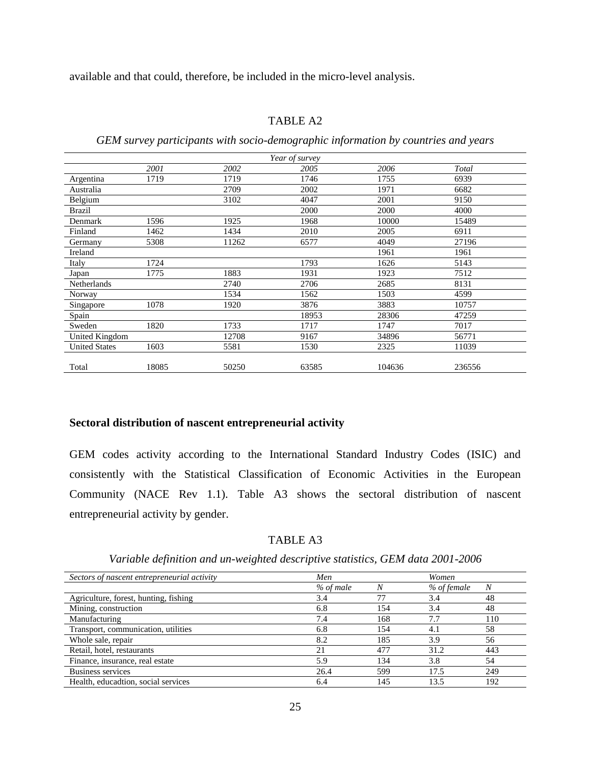available and that could, therefore, be included in the micro-level analysis.

#### TABLE A2

*GEM survey participants with socio-demographic information by countries and years*

|                      |       |       | Year of survey |        |        |
|----------------------|-------|-------|----------------|--------|--------|
|                      | 2001  | 2002  | 2005           | 2006   | Total  |
| Argentina            | 1719  | 1719  | 1746           | 1755   | 6939   |
| Australia            |       | 2709  | 2002           | 1971   | 6682   |
| Belgium              |       | 3102  | 4047           | 2001   | 9150   |
| Brazil               |       |       | 2000           | 2000   | 4000   |
| Denmark              | 1596  | 1925  | 1968           | 10000  | 15489  |
| Finland              | 1462  | 1434  | 2010           | 2005   | 6911   |
| Germany              | 5308  | 11262 | 6577           | 4049   | 27196  |
| Ireland              |       |       |                | 1961   | 1961   |
| Italy                | 1724  |       | 1793           | 1626   | 5143   |
| Japan                | 1775  | 1883  | 1931           | 1923   | 7512   |
| Netherlands          |       | 2740  | 2706           | 2685   | 8131   |
| Norway               |       | 1534  | 1562           | 1503   | 4599   |
| Singapore            | 1078  | 1920  | 3876           | 3883   | 10757  |
| Spain                |       |       | 18953          | 28306  | 47259  |
| Sweden               | 1820  | 1733  | 1717           | 1747   | 7017   |
| United Kingdom       |       | 12708 | 9167           | 34896  | 56771  |
| <b>United States</b> | 1603  | 5581  | 1530           | 2325   | 11039  |
|                      |       |       |                |        |        |
| Total                | 18085 | 50250 | 63585          | 104636 | 236556 |

#### **Sectoral distribution of nascent entrepreneurial activity**

GEM codes activity according to the International Standard Industry Codes (ISIC) and consistently with the Statistical Classification of Economic Activities in the European Community (NACE Rev 1.1). Table A3 shows the sectoral distribution of nascent entrepreneurial activity by gender.

#### TABLE A3

*Variable definition and un-weighted descriptive statistics, GEM data 2001-2006*

| Sectors of nascent entrepreneurial activity | Men       |     | Women       |     |
|---------------------------------------------|-----------|-----|-------------|-----|
|                                             | % of male | N   | % of female | N   |
| Agriculture, forest, hunting, fishing       | 3.4       |     | 3.4         | 48  |
| Mining, construction                        | 6.8       | 154 | 3.4         | 48  |
| Manufacturing                               | 7.4       | 168 | 7.7         | 110 |
| Transport, communication, utilities         | 6.8       | 154 | 4.1         | 58  |
| Whole sale, repair                          | 8.2       | 185 | 3.9         | 56  |
| Retail, hotel, restaurants                  | 21        | 477 | 31.2        | 443 |
| Finance, insurance, real estate             | 5.9       | 134 | 3.8         | 54  |
| Business services                           | 26.4      | 599 | 17.5        | 249 |
| Health, educadtion, social services         | 6.4       | 145 | 13.5        | 192 |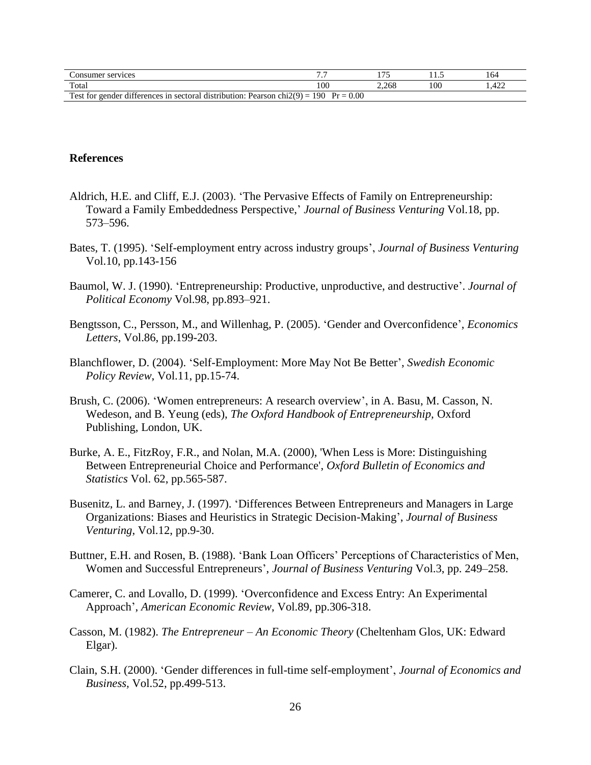| Consumer services                                                                               |      | 1.7.7 | .   | 164                 |
|-------------------------------------------------------------------------------------------------|------|-------|-----|---------------------|
| Total                                                                                           | 100  | 2.268 | 100 | $4^{\circ}$<br>.444 |
| 1.00<br>$chi(9) =$<br>Test for<br>distribution: F<br>gender differences in sectoral.<br>Pearson | 0.00 |       |     |                     |

#### **References**

- Aldrich, H.E. and Cliff, E.J. (2003). 'The Pervasive Effects of Family on Entrepreneurship: Toward a Family Embeddedness Perspective,' *Journal of Business Venturing* Vol.18, pp. 573–596.
- Bates, T. (1995). 'Self-employment entry across industry groups', *Journal of Business Venturing* Vol.10, pp.143-156
- Baumol, W. J. (1990). 'Entrepreneurship: Productive, unproductive, and destructive'. *Journal of Political Economy* Vol.98, pp.893–921.
- Bengtsson, C., Persson, M., and Willenhag, P. (2005). 'Gender and Overconfidence', *Economics Letters*, Vol.86, pp.199-203.
- Blanchflower, D. (2004). 'Self-Employment: More May Not Be Better', *Swedish Economic Policy Review*, Vol.11, pp.15-74.
- Brush, C. (2006). 'Women entrepreneurs: A research overview', in A. Basu, M. Casson, N. Wedeson, and B. Yeung (eds), *The Oxford Handbook of Entrepreneurship,* Oxford Publishing, London, UK.
- Burke, A. E., FitzRoy, F.R., and Nolan, M.A. (2000), 'When Less is More: Distinguishing Between Entrepreneurial Choice and Performance', *Oxford Bulletin of Economics and Statistics* Vol. 62, pp.565-587.
- Busenitz, L. and Barney, J. (1997). 'Differences Between Entrepreneurs and Managers in Large Organizations: Biases and Heuristics in Strategic Decision-Making', *Journal of Business Venturing*, Vol.12, pp.9-30.
- Buttner, E.H. and Rosen, B. (1988). 'Bank Loan Officers' Perceptions of Characteristics of Men, Women and Successful Entrepreneurs', *Journal of Business Venturing* Vol.3, pp. 249–258.
- Camerer, C. and Lovallo, D. (1999). 'Overconfidence and Excess Entry: An Experimental Approach', *American Economic Review*, Vol.89, pp.306-318.
- Casson, M. (1982). *The Entrepreneur – An Economic Theory* (Cheltenham Glos, UK: Edward Elgar).
- Clain, S.H. (2000). 'Gender differences in full-time self-employment', *Journal of Economics and Business,* Vol.52, pp.499-513.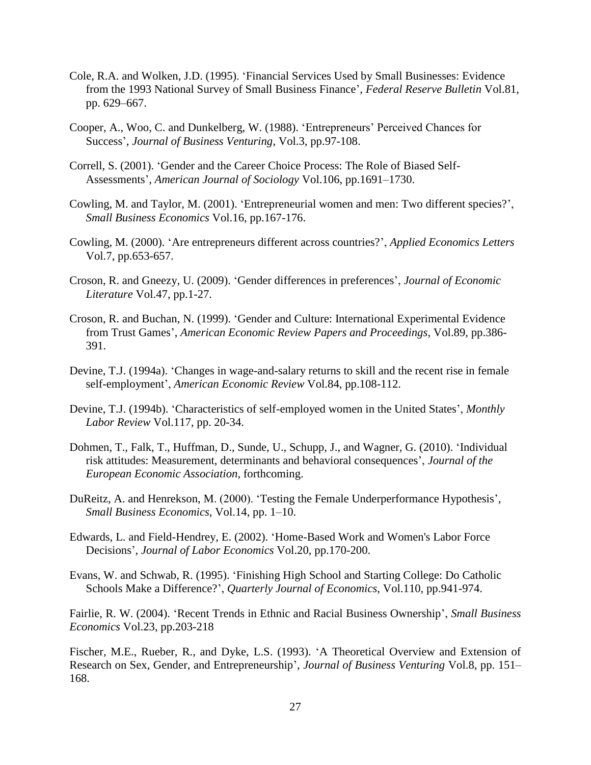- Cole, R.A. and Wolken, J.D. (1995). 'Financial Services Used by Small Businesses: Evidence from the 1993 National Survey of Small Business Finance', *Federal Reserve Bulletin* Vol.81, pp. 629–667.
- Cooper, A., Woo, C. and Dunkelberg, W. (1988). 'Entrepreneurs' Perceived Chances for Success', *Journal of Business Venturing*, Vol.3, pp.97-108.
- Correll, S. (2001). 'Gender and the Career Choice Process: The Role of Biased Self-Assessments', *American Journal of Sociology* Vol.106, pp.1691–1730.
- Cowling, M. and Taylor, M. (2001). 'Entrepreneurial women and men: Two different species?', *Small Business Economics* Vol.16, pp.167-176.
- Cowling, M. (2000). 'Are entrepreneurs different across countries?', *Applied Economics Letters*  Vol.7, pp.653-657.
- Croson, R. and Gneezy, U. (2009). 'Gender differences in preferences', *Journal of Economic Literature* Vol.47, pp.1-27.
- Croson, R. and Buchan, N. (1999). 'Gender and Culture: International Experimental Evidence from Trust Games', *American Economic Review Papers and Proceedings*, Vol.89, pp.386- 391.
- Devine, T.J. (1994a). 'Changes in wage-and-salary returns to skill and the recent rise in female self-employment', *American Economic Review* Vol.84, pp.108-112.
- Devine, T.J. (1994b). 'Characteristics of self-employed women in the United States', *Monthly Labor Review* Vol.117, pp. 20-34.
- Dohmen, T., Falk, T., Huffman, D., Sunde, U., Schupp, J., and Wagner, G. (2010). 'Individual risk attitudes: Measurement, determinants and behavioral consequences', *Journal of the European Economic Association*, forthcoming.
- DuReitz, A. and Henrekson, M. (2000). 'Testing the Female Underperformance Hypothesis', *Small Business Economics*, Vol.14, pp. 1–10.
- Edwards, L. and Field-Hendrey, E. (2002). 'Home-Based Work and Women's Labor Force Decisions', *Journal of Labor Economics* Vol.20, pp.170-200.
- Evans, W. and Schwab, R. (1995). 'Finishing High School and Starting College: Do Catholic Schools Make a Difference?', *Quarterly Journal of Economics*, Vol.110, pp.941-974.

Fairlie, R. W. (2004). 'Recent Trends in Ethnic and Racial Business Ownership', *Small Business Economics* Vol.23, pp.203-218

Fischer, M.E., Rueber, R., and Dyke, L.S. (1993). 'A Theoretical Overview and Extension of Research on Sex, Gender, and Entrepreneurship', *Journal of Business Venturing* Vol.8, pp. 151– 168.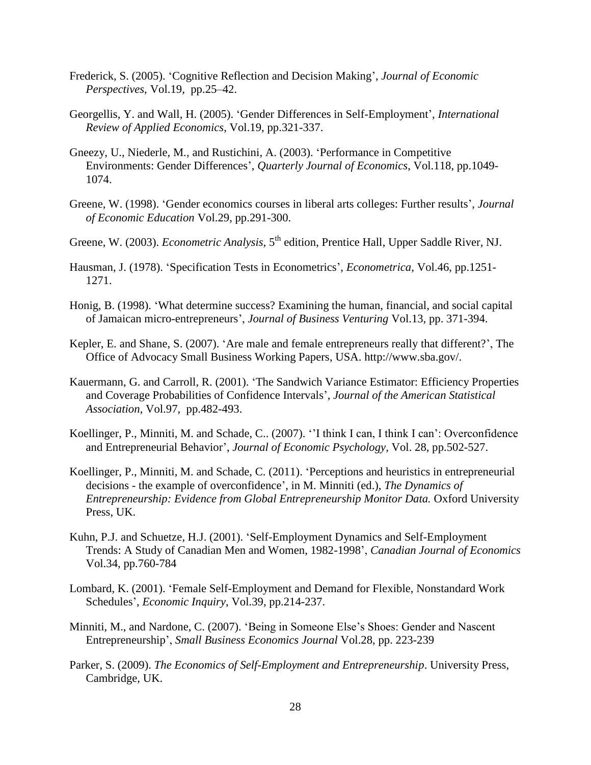- Frederick, S. (2005). 'Cognitive Reflection and Decision Making', *Journal of Economic Perspectives*, Vol.19, pp.25–42.
- Georgellis, Y. and Wall, H. (2005). 'Gender Differences in Self-Employment', *International Review of Applied Economics*, Vol.19, pp.321-337.
- Gneezy, U., Niederle, M., and Rustichini, A. (2003). 'Performance in Competitive Environments: Gender Differences', *Quarterly Journal of Economics*, Vol.118, pp.1049- 1074.
- Greene, W. (1998). 'Gender economics courses in liberal arts colleges: Further results', *Journal of Economic Education* Vol.29, pp.291-300.
- Greene, W. (2003). *Econometric Analysis*, 5<sup>th</sup> edition, Prentice Hall, Upper Saddle River, NJ.
- Hausman, J. (1978). 'Specification Tests in Econometrics', *Econometrica*, Vol.46, pp.1251- 1271.
- Honig, B. (1998). 'What determine success? Examining the human, financial, and social capital of Jamaican micro-entrepreneurs', *Journal of Business Venturing* Vol.13, pp. 371-394.
- Kepler, E. and Shane, S. (2007). 'Are male and female entrepreneurs really that different?', The Office of Advocacy Small Business Working Papers, USA. http://www.sba.gov/.
- Kauermann, G. and Carroll, R. (2001). 'The Sandwich Variance Estimator: Efficiency Properties and Coverage Probabilities of Confidence Intervals', *Journal of the American Statistical Association*, Vol.97, pp.482-493.
- Koellinger, P., Minniti, M. and Schade, C.. (2007). ''I think I can, I think I can': Overconfidence and Entrepreneurial Behavior', *Journal of Economic Psychology*, Vol. 28, pp.502-527.
- Koellinger, P., Minniti, M. and Schade, C. (2011). 'Perceptions and heuristics in entrepreneurial decisions - the example of overconfidence', in M. Minniti (ed.), *The Dynamics of Entrepreneurship: Evidence from Global Entrepreneurship Monitor Data.* Oxford University Press, UK.
- Kuhn, P.J. and Schuetze, H.J. (2001). 'Self-Employment Dynamics and Self-Employment Trends: A Study of Canadian Men and Women, 1982-1998', *Canadian Journal of Economics* Vol.34, pp.760-784
- Lombard, K. (2001). 'Female Self-Employment and Demand for Flexible, Nonstandard Work Schedules', *Economic Inquiry*, Vol.39, pp.214-237.
- Minniti, M., and Nardone, C. (2007). 'Being in Someone Else's Shoes: Gender and Nascent Entrepreneurship', *Small Business Economics Journal* Vol.28, pp. 223-239
- Parker, S. (2009). *The Economics of Self-Employment and Entrepreneurship*. University Press, Cambridge, UK.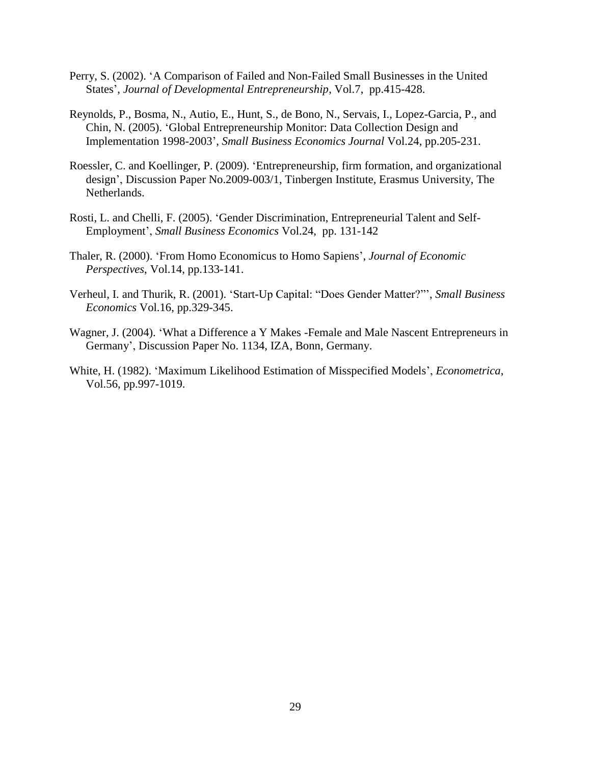- Perry, S. (2002). 'A Comparison of Failed and Non-Failed Small Businesses in the United States', *Journal of Developmental Entrepreneurship*, Vol.7, pp.415-428.
- Reynolds, P., Bosma, N., Autio, E., Hunt, S., de Bono, N., Servais, I., Lopez-Garcia, P., and Chin, N. (2005). 'Global Entrepreneurship Monitor: Data Collection Design and Implementation 1998-2003', *Small Business Economics Journal* Vol.24, pp.205-231.
- Roessler, C. and Koellinger, P. (2009). 'Entrepreneurship, firm formation, and organizational design', Discussion Paper No.2009-003/1, Tinbergen Institute, Erasmus University, The Netherlands.
- Rosti, L. and Chelli, F. (2005). 'Gender Discrimination, Entrepreneurial Talent and Self-Employment', *Small Business Economics* Vol.24, pp. 131-142
- Thaler, R. (2000). 'From Homo Economicus to Homo Sapiens', *Journal of Economic Perspectives*, Vol.14, pp.133-141.
- Verheul, I. and Thurik, R. (2001). 'Start-Up Capital: "Does Gender Matter?"', *Small Business Economics* Vol.16, pp.329-345.
- Wagner, J. (2004). 'What a Difference a Y Makes -Female and Male Nascent Entrepreneurs in Germany', Discussion Paper No. 1134, IZA, Bonn, Germany.
- White, H. (1982). 'Maximum Likelihood Estimation of Misspecified Models', *Econometrica*, Vol.56, pp.997-1019.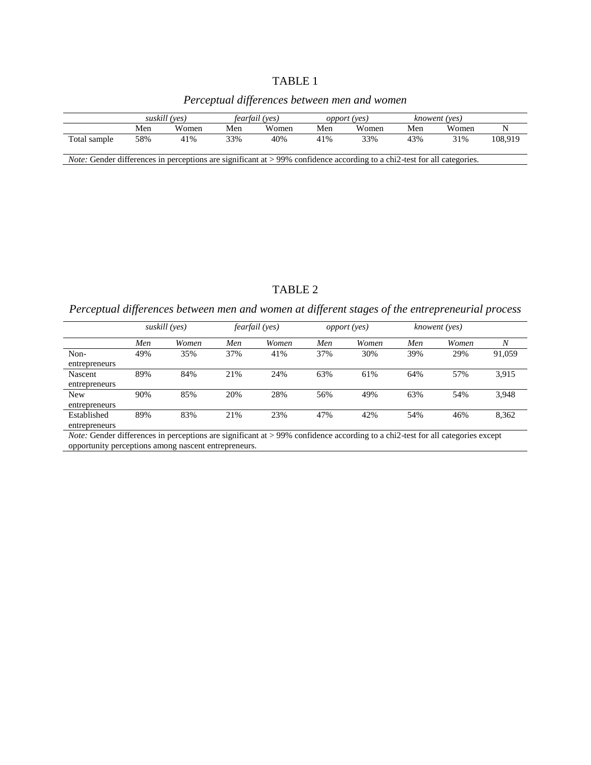# TABLE 1

# *Perceptual differences between men and women*

|                                                                                                                                               | suskill (yes) |       | fearfail (ves) |       | <i>opport</i> (yes) |       | knowent (yes) |       |         |
|-----------------------------------------------------------------------------------------------------------------------------------------------|---------------|-------|----------------|-------|---------------------|-------|---------------|-------|---------|
|                                                                                                                                               | Men           | Women | Men            | Women | Men                 | Women | Men           | Women |         |
| Total sample                                                                                                                                  | 58%           | 41%   | 33%            | 40%   | 41%                 | 33%   | 43%           | 31%   | 108.919 |
| <i>Note:</i> Gender differences in perceptions are significant at $>99\%$ confidence according to a chi <sup>2</sup> -test for all categories |               |       |                |       |                     |       |               |       |         |

*Note:* Gender differences in perceptions are significant at > 99% confidence according to a chi2-test for all categories.

# TABLE 2

*Perceptual differences between men and women at different stages of the entrepreneurial process*

|                              |     | suskill (yes) |     | <i>fearfail</i> (yes) |     | <i>opport</i> (yes) |     | knowent (yes) |                  |
|------------------------------|-----|---------------|-----|-----------------------|-----|---------------------|-----|---------------|------------------|
|                              | Men | Women         | Men | Women                 | Men | Women               | Men | Women         | $\boldsymbol{N}$ |
| Non-<br>entrepreneurs        | 49% | 35%           | 37% | 41%                   | 37% | 30%                 | 39% | 29%           | 91,059           |
| Nascent<br>entrepreneurs     | 89% | 84%           | 21% | 24%                   | 63% | 61%                 | 64% | 57%           | 3,915            |
| <b>New</b><br>entrepreneurs  | 90% | 85%           | 20% | 28%                   | 56% | 49%                 | 63% | 54%           | 3,948            |
| Established<br>entrepreneurs | 89% | 83%           | 21% | 23%                   | 47% | 42%                 | 54% | 46%           | 8,362            |

*Note:* Gender differences in perceptions are significant at > 99% confidence according to a chi2-test for all categories except opportunity perceptions among nascent entrepreneurs.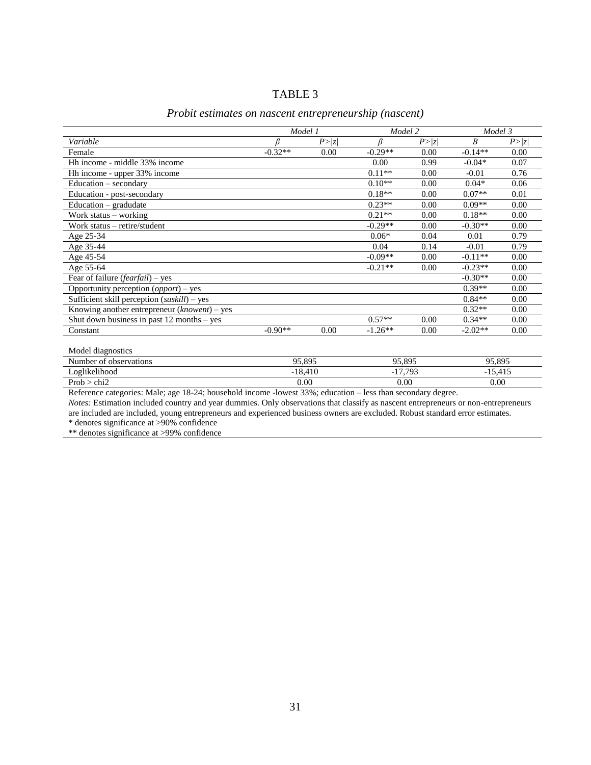| ABL ' |  |
|-------|--|
|-------|--|

|                                                             |           | Model 1 | Model 2   |        | Model 3          |        |
|-------------------------------------------------------------|-----------|---------|-----------|--------|------------------|--------|
| Variable                                                    |           | P >  z  |           | P >  z | $\boldsymbol{B}$ | P >  z |
| Female                                                      | $-0.32**$ | 0.00    | $-0.29**$ | 0.00   | $-0.14**$        | 0.00   |
| Hh income - middle 33% income                               |           |         | 0.00      | 0.99   | $-0.04*$         | 0.07   |
| Hh income - upper 33% income                                |           |         | $0.11**$  | 0.00   | $-0.01$          | 0.76   |
| $Education - secondary$                                     |           |         | $0.10**$  | 0.00   | $0.04*$          | 0.06   |
| Education - post-secondary                                  |           |         | $0.18**$  | 0.00   | $0.07**$         | 0.01   |
| Education - gradudate                                       |           |         | $0.23**$  | 0.00   | $0.09**$         | 0.00   |
| Work status – working                                       |           |         | $0.21**$  | 0.00   | $0.18**$         | 0.00   |
| Work status – retire/student                                |           |         | $-0.29**$ | 0.00   | $-0.30**$        | 0.00   |
| Age 25-34                                                   |           |         | $0.06*$   | 0.04   | 0.01             | 0.79   |
| Age 35-44                                                   |           |         | 0.04      | 0.14   | $-0.01$          | 0.79   |
| Age 45-54                                                   |           |         | $-0.09**$ | 0.00   | $-0.11**$        | 0.00   |
| Age 55-64                                                   |           |         | $-0.21**$ | 0.00   | $-0.23**$        | 0.00   |
| Fear of failure ( <i>fearfail</i> ) – yes                   |           |         |           |        | $-0.30**$        | 0.00   |
| Opportunity perception $\left( \text{opport} \right)$ – yes |           |         |           |        | $0.39**$         | 0.00   |
| Sufficient skill perception $(suskill)$ – yes               |           |         |           |        | $0.84**$         | 0.00   |
| Knowing another entrepreneur $(known)$ – yes                |           |         |           |        | $0.32**$         | 0.00   |
| Shut down business in past $12$ months – yes                |           |         | $0.57**$  | 0.00   | $0.34**$         | 0.00   |
| Constant                                                    | $-0.90**$ | 0.00    | $-1.26**$ | 0.00   | $-2.02**$        | 0.00   |
|                                                             |           |         |           |        |                  |        |

# *Probit estimates on nascent entrepreneurship (nascent)*

Model diagnostics Number of observations 95,895 95,895 95,895 95,895 95,895 95,895 95,895 95,895 95,895 95,895 95,895 95,895 95,895 95,895 95,895 95,895 95,895 95,895 95,895 95,895 95,895 95,895 95,895 95,895 95,895 95,895 95,895 95,895 95, Loglikelihood -18,410 -17,793 -15,415<br>Prob > chi2 0.00 0.00 0.00 0.00 0.00  $Prob > chi2$  0.00 0.00 0.00 0.00 0.00

Reference categories: Male; age 18-24; household income -lowest 33%; education – less than secondary degree.

*Notes:* Estimation included country and year dummies. Only observations that classify as nascent entrepreneurs or non-entrepreneurs are included are included, young entrepreneurs and experienced business owners are excluded. Robust standard error estimates.

\* denotes significance at >90% confidence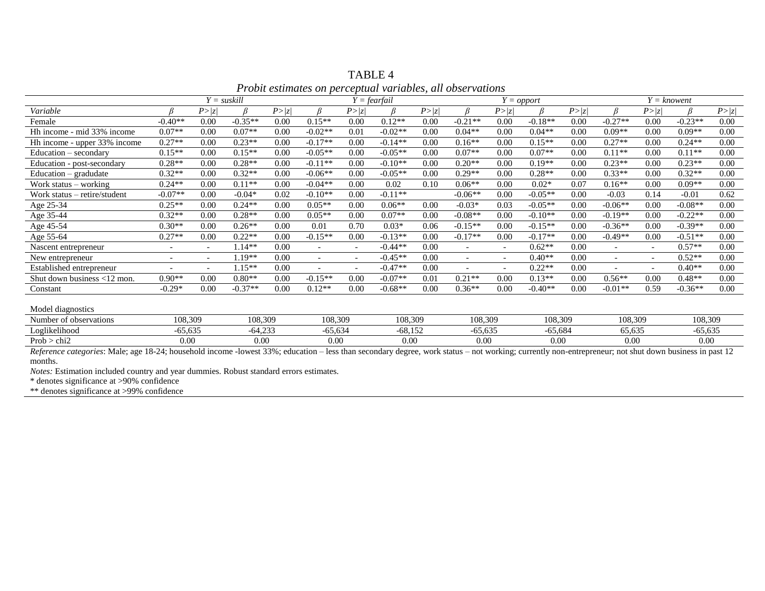| Thome estimates on perceptual variables, all observations |                          |                          |               |      |                          |                          |                |      |                          |                          |           |      |                          |                          |           |      |
|-----------------------------------------------------------|--------------------------|--------------------------|---------------|------|--------------------------|--------------------------|----------------|------|--------------------------|--------------------------|-----------|------|--------------------------|--------------------------|-----------|------|
|                                                           |                          |                          | $Y =$ suskill |      |                          |                          | $Y =$ fearfail |      | $Y = opport$             |                          |           |      |                          | $Y = known$              |           |      |
| Variable                                                  |                          | P> z                     |               | P> z |                          | P >  z                   | ß              | P> z |                          | P >  z                   |           | P> z | R                        | P >  z                   |           | P> z |
| Female                                                    | $-0.40**$                | 0.00                     | $-0.35**$     | 0.00 | $0.15**$                 | 0.00                     | $0.12**$       | 0.00 | $-0.21**$                | 0.00                     | $-0.18**$ | 0.00 | $-0.27**$                | 0.00                     | $-0.23**$ | 0.00 |
| Hh income - mid 33% income                                | $0.07**$                 | 0.00                     | $0.07**$      | 0.00 | $-0.02**$                | 0.01                     | $-0.02**$      | 0.00 | $0.04**$                 | 0.00                     | $0.04**$  | 0.00 | $0.09**$                 | 0.00                     | $0.09**$  | 0.00 |
| Hh income - upper 33% income                              | $0.27**$                 | 0.00                     | $0.23**$      | 0.00 | $-0.17**$                | 0.00                     | $-0.14**$      | 0.00 | $0.16**$                 | 0.00                     | $0.15**$  | 0.00 | $0.27**$                 | 0.00                     | $0.24**$  | 0.00 |
| Education – secondary                                     | $0.15**$                 | 0.00                     | $0.15**$      | 0.00 | $-0.05**$                | 0.00                     | $-0.05**$      | 0.00 | $0.07**$                 | 0.00                     | $0.07**$  | 0.00 | $0.11**$                 | 0.00                     | $0.11**$  | 0.00 |
| Education - post-secondary                                | $0.28**$                 | 0.00                     | $0.28**$      | 0.00 | $-0.11**$                | 0.00                     | $-0.10**$      | 0.00 | $0.20**$                 | 0.00                     | $0.19**$  | 0.00 | $0.23**$                 | 0.00                     | $0.23**$  | 0.00 |
| $Education - graduate$                                    | $0.32**$                 | 0.00                     | $0.32**$      | 0.00 | $-0.06**$                | 0.00                     | $-0.05**$      | 0.00 | $0.29**$                 | 0.00                     | $0.28**$  | 0.00 | $0.33**$                 | 0.00                     | $0.32**$  | 0.00 |
| Work status – working                                     | $0.24**$                 | 0.00                     | $0.11**$      | 0.00 | $-0.04**$                | 0.00                     | 0.02           | 0.10 | $0.06**$                 | 0.00                     | $0.02*$   | 0.07 | $0.16**$                 | 0.00                     | $0.09**$  | 0.00 |
| Work status – retire/student                              | $-0.07**$                | 0.00                     | $-0.04*$      | 0.02 | $-0.10**$                | 0.00                     | $-0.11**$      |      | $-0.06**$                | 0.00                     | $-0.05**$ | 0.00 | $-0.03$                  | 0.14                     | $-0.01$   | 0.62 |
| Age $25-34$                                               | $0.25**$                 | 0.00                     | $0.24**$      | 0.00 | $0.05**$                 | 0.00                     | $0.06**$       | 0.00 | $-0.03*$                 | 0.03                     | $-0.05**$ | 0.00 | $-0.06**$                | 0.00                     | $-0.08**$ | 0.00 |
| Age $35-44$                                               | $0.32**$                 | 0.00                     | $0.28**$      | 0.00 | $0.05**$                 | 0.00                     | $0.07**$       | 0.00 | $-0.08**$                | 0.00                     | $-0.10**$ | 0.00 | $-0.19**$                | 0.00                     | $-0.22**$ | 0.00 |
| Age 45-54                                                 | $0.30**$                 | 0.00                     | $0.26**$      | 0.00 | 0.01                     | 0.70                     | $0.03*$        | 0.06 | $-0.15**$                | 0.00                     | $-0.15**$ | 0.00 | $-0.36**$                | 0.00                     | $-0.39**$ | 0.00 |
| Age 55-64                                                 | $0.27**$                 | 0.00                     | $0.22**$      | 0.00 | $-0.15**$                | 0.00                     | $-0.13**$      | 0.00 | $-0.17**$                | 0.00                     | $-0.17**$ | 0.00 | $-0.49**$                | 0.00                     | $-0.51**$ | 0.00 |
| Nascent entrepreneur                                      | $\overline{\phantom{a}}$ | $\overline{\phantom{0}}$ | $.14**$       | 0.00 | $\overline{\phantom{a}}$ | $\overline{\phantom{a}}$ | $-0.44**$      | 0.00 | $\overline{\phantom{0}}$ | $\overline{\phantom{a}}$ | $0.62**$  | 0.00 | $\overline{\phantom{a}}$ | $\overline{\phantom{a}}$ | $0.57**$  | 0.00 |
| New entrepreneur                                          | $\overline{\phantom{a}}$ | $\overline{\phantom{0}}$ | $.19**$       | 0.00 | $\overline{\phantom{a}}$ | $\overline{\phantom{0}}$ | $-0.45**$      | 0.00 | $\overline{\phantom{0}}$ |                          | $0.40**$  | 0.00 |                          | $\overline{\phantom{a}}$ | $0.52**$  | 0.00 |
| Established entrepreneur                                  | $\overline{\phantom{a}}$ | $\overline{\phantom{0}}$ | $1.15**$      | 0.00 | $\overline{\phantom{a}}$ |                          | $-0.47**$      | 0.00 | $\overline{\phantom{0}}$ |                          | $0.22**$  | 0.00 | $\overline{\phantom{a}}$ | $\overline{\phantom{a}}$ | $0.40**$  | 0.00 |
| Shut down business <12 mon.                               | $0.90**$                 | 0.00                     | $0.80**$      | 0.00 | $-0.15**$                | 0.00                     | $-0.07**$      | 0.01 | $0.21**$                 | 0.00                     | $0.13**$  | 0.00 | $0.56**$                 | 0.00                     | $0.48**$  | 0.00 |
| Constant                                                  | $-0.29*$                 | 0.00                     | $-0.37**$     | 0.00 | $0.12**$                 | 0.00                     | $-0.68**$      | 0.00 | $0.36**$                 | 0.00                     | $-0.40**$ | 0.00 | $-0.01**$                | 0.59                     | $-0.36**$ | 0.00 |
| Model diagnostics                                         |                          |                          |               |      |                          |                          |                |      |                          |                          |           |      |                          |                          |           |      |

TABLE 4 *Probit estimates on perceptual variables, all observations*

Number of observations 108,309 108,309 108,309 108,309 108,309 108,309 108,309 108,309 Loglikelihood -65,635 -64,233 -65,634 -68,152 -65,635 -65,684 65,635 -65,635 Prob > chi2 0.00 0.00 0.00 0.00 0.00 0.00 0.00 0.00

Reference categories: Male; age 18-24; household income -lowest 33%; education – less than secondary degree, work status – not working; currently non-entrepreneur; not shut down business in past 12 months.

*Notes:* Estimation included country and year dummies. Robust standard errors estimates.

\* denotes significance at >90% confidence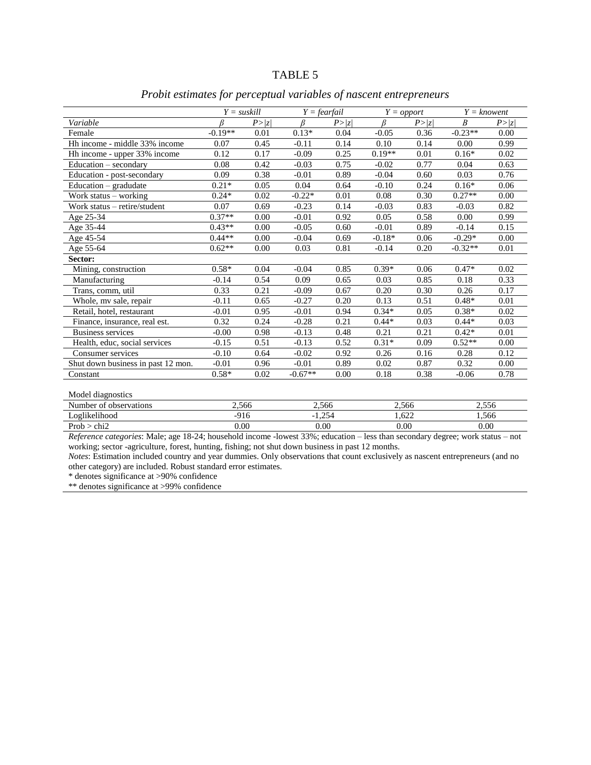# *Probit estimates for perceptual variables of nascent entrepreneurs*

|                                                | $Y = suskill$ |              |             | $Y =$ fearfail |                       | $Y = opport$ |                      | $Y =$ knowent |  |
|------------------------------------------------|---------------|--------------|-------------|----------------|-----------------------|--------------|----------------------|---------------|--|
| Variable                                       | R             | P >  z       | ß           | P> z           | R                     | P> z         | $\boldsymbol{B}$     | P> z          |  |
| Female                                         | $-0.19**$     | 0.01         | $0.13*$     | 0.04           | $-0.05$               | 0.36         | $-0.23**$            | 0.00          |  |
| Hh income - middle 33% income                  | 0.07          | 0.45         | $-0.11$     | 0.14           | 0.10                  | 0.14         | 0.00                 | 0.99          |  |
| Hh income - upper 33% income                   | 0.12          | 0.17         | $-0.09$     | 0.25           | $0.19**$              | 0.01         | $0.16*$              | 0.02          |  |
| Education – secondary                          | 0.08          | 0.42         | $-0.03$     | 0.75           | $-0.02$               | 0.77         | 0.04                 | 0.63          |  |
| Education - post-secondary                     | 0.09          | 0.38         | $-0.01$     | 0.89           | $-0.04$               | 0.60         | 0.03                 | 0.76          |  |
| Education – gradudate                          | $0.21*$       | 0.05         | 0.04        | 0.64           | $-0.10$               | 0.24         | $0.16*$              | 0.06          |  |
| Work status - working                          | $0.24*$       | 0.02         | $-0.22*$    | 0.01           | 0.08                  | 0.30         | $0.27**$             | 0.00          |  |
| Work status - retire/student                   | 0.07          | 0.69         | $-0.23$     | 0.14           | $-0.03$               | 0.83         | $-0.03$              | 0.82          |  |
| Age 25-34                                      | $0.37**$      | 0.00         | $-0.01$     | 0.92           | 0.05                  | 0.58         | 0.00                 | 0.99          |  |
| Age 35-44                                      | $0.43**$      | 0.00         | $-0.05$     | 0.60           | $-0.01$               | 0.89         | $-0.14$              | 0.15          |  |
| Age 45-54                                      | $0.44**$      | 0.00         | $-0.04$     | 0.69           | $-0.18*$              | 0.06         | $-0.29*$             | 0.00          |  |
| Age 55-64                                      | $0.62**$      | 0.00         | 0.03        | 0.81           | $-0.14$               | 0.20         | $-0.32**$            | 0.01          |  |
| Sector:                                        |               |              |             |                |                       |              |                      |               |  |
| Mining, construction                           | $0.58*$       | 0.04         | $-0.04$     | 0.85           | $0.39*$               | 0.06         | $0.47*$              | 0.02          |  |
| Manufacturing                                  | $-0.14$       | 0.54         | 0.09        | 0.65           | 0.03                  | 0.85         | 0.18                 | 0.33          |  |
| Trans, comm, util                              | 0.33          | 0.21         | $-0.09$     | 0.67           | 0.20                  | 0.30         | 0.26                 | 0.17          |  |
| Whole, my sale, repair                         | $-0.11$       | 0.65         | $-0.27$     | 0.20           | 0.13                  | 0.51         | $0.48*$              | 0.01          |  |
| Retail, hotel, restaurant                      | $-0.01$       | 0.95         | $-0.01$     | 0.94           | $0.34*$               | 0.05         | $0.38*$              | 0.02          |  |
| Finance, insurance, real est.                  | 0.32          | 0.24         | $-0.28$     | 0.21           | $0.44*$               | 0.03         | $0.44*$              | 0.03          |  |
| <b>Business services</b>                       | $-0.00$       | 0.98         | $-0.13$     | 0.48           | 0.21                  | 0.21         | $0.42*$              | 0.01          |  |
| Health, educ, social services                  | $-0.15$       | 0.51         | $-0.13$     | 0.52           | $0.31*$               | 0.09         | $0.52**$             | 0.00          |  |
| Consumer services                              | $-0.10$       | 0.64         | $-0.02$     | 0.92           | 0.26                  | 0.16         | 0.28                 | 0.12          |  |
| Shut down business in past 12 mon.             | $-0.01$       | 0.96         | $-0.01$     | 0.89           | 0.02                  | 0.87         | 0.32                 | 0.00          |  |
| Constant                                       | $0.58*$       | 0.02         | $-0.67**$   | 0.00           | 0.18                  | 0.38         | $-0.06$              | 0.78          |  |
| Model diagnostics                              |               |              |             |                |                       |              |                      |               |  |
| Number of observations                         | 2,566         |              |             | 2,566          |                       | 2,566        |                      | 2,556         |  |
| Loglikelihood                                  | $-916$        |              |             | $-1,254$       |                       | 1,622        |                      | 1,566         |  |
| Prob > chi2<br>$\mathbf{r}$<br>10.011<br>2.5.1 | 0.00<br>1.111 | $\mathbf{L}$ | 0.00<br>222 | $\sim$         | $0.00\,$<br>$\cdot$ 1 |              | 0.00<br>$\mathbf{I}$ |               |  |

*Reference categories*: Male; age 18-24; household income -lowest 33%; education – less than secondary degree; work status – not working; sector -agriculture, forest, hunting, fishing; not shut down business in past 12 months.

*Notes*: Estimation included country and year dummies. Only observations that count exclusively as nascent entrepreneurs (and no other category) are included. Robust standard error estimates.

\* denotes significance at >90% confidence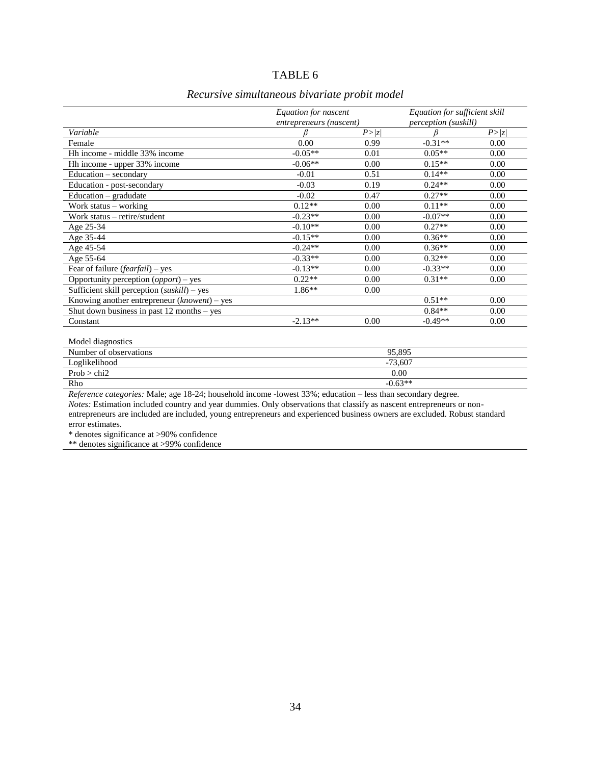#### TABLE 6

# *Recursive simultaneous bivariate probit model*

|                                              | Equation for nascent    |      | Equation for sufficient skill |      |  |  |  |
|----------------------------------------------|-------------------------|------|-------------------------------|------|--|--|--|
|                                              | entrepreneurs (nascent) |      | perception (suskill)          |      |  |  |  |
| Variable                                     |                         | P> z |                               | P> z |  |  |  |
| Female                                       | 0.00                    | 0.99 | $-0.31**$                     | 0.00 |  |  |  |
| Hh income - middle 33% income                | $-0.05**$               | 0.01 | $0.05**$                      | 0.00 |  |  |  |
| Hh income - upper 33% income                 | $-0.06**$               | 0.00 | $0.15**$                      | 0.00 |  |  |  |
| Education – secondary                        | $-0.01$                 | 0.51 | $0.14**$                      | 0.00 |  |  |  |
| Education - post-secondary                   | $-0.03$                 | 0.19 | $0.24**$                      | 0.00 |  |  |  |
| Education $-$ gradudate                      | $-0.02$                 | 0.47 | $0.27**$                      | 0.00 |  |  |  |
| Work status – working                        | $0.12**$                | 0.00 | $0.11**$                      | 0.00 |  |  |  |
| Work status – retire/student                 | $-0.23**$               | 0.00 | $-0.07**$                     | 0.00 |  |  |  |
| Age 25-34                                    | $-0.10**$               | 0.00 | $0.27**$                      | 0.00 |  |  |  |
| Age 35-44                                    | $-0.15**$               | 0.00 | $0.36**$                      | 0.00 |  |  |  |
| Age 45-54                                    | $-0.24**$               | 0.00 | $0.36**$                      | 0.00 |  |  |  |
| Age 55-64                                    | $-0.33**$               | 0.00 | $0.32**$                      | 0.00 |  |  |  |
| Fear of failure (fearfail) - yes             | $-0.13**$               | 0.00 | $-0.33**$                     | 0.00 |  |  |  |
| Opportunity perception (opport) – yes        | $0.22**$                | 0.00 | $0.31**$                      | 0.00 |  |  |  |
| Sufficient skill perception (suskill) - yes  | 1.86**                  | 0.00 |                               |      |  |  |  |
| Knowing another entrepreneur $(known)$ – yes |                         |      | $0.51**$                      | 0.00 |  |  |  |
| Shut down business in past $12$ months – yes |                         |      | $0.84**$                      | 0.00 |  |  |  |
| Constant                                     | $-2.13**$               | 0.00 | $-0.49**$                     | 0.00 |  |  |  |
|                                              |                         |      |                               |      |  |  |  |
| Model diagnostics                            |                         |      |                               |      |  |  |  |
| Number of observations                       | 95.895                  |      |                               |      |  |  |  |
| Loglikelihood                                |                         |      | $-73,607$                     |      |  |  |  |
| Prob > chi2                                  |                         |      | 0.00                          |      |  |  |  |
| Rho                                          |                         |      | $-0.63**$                     |      |  |  |  |

*Reference categories:* Male; age 18-24; household income -lowest 33%; education – less than secondary degree.

*Notes:* Estimation included country and year dummies. Only observations that classify as nascent entrepreneurs or nonentrepreneurs are included are included, young entrepreneurs and experienced business owners are excluded. Robust standard error estimates.

\* denotes significance at >90% confidence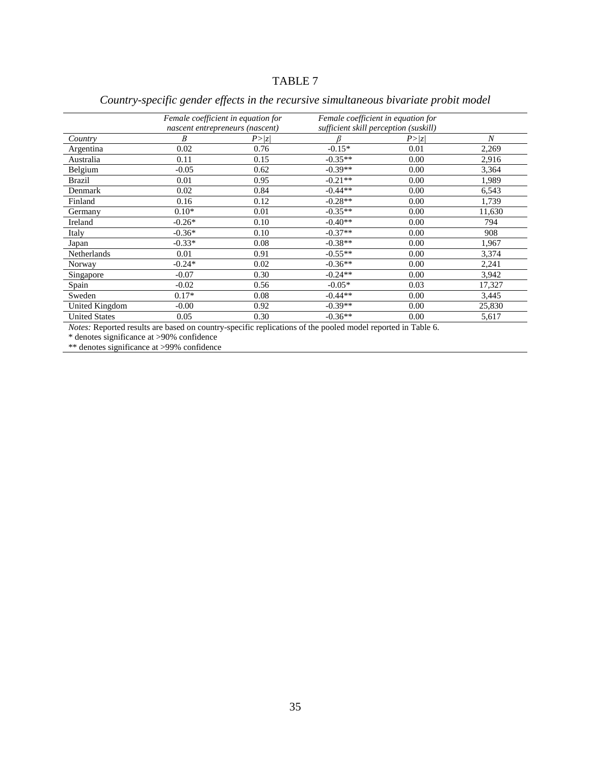# TABLE 7

|                      |          | Female coefficient in equation for<br>nascent entrepreneurs (nascent) | Female coefficient in equation for<br>sufficient skill perception (suskill) |        |        |
|----------------------|----------|-----------------------------------------------------------------------|-----------------------------------------------------------------------------|--------|--------|
| Country              | B        | P >  z                                                                |                                                                             | P >  z | N      |
| Argentina            | 0.02     | 0.76                                                                  | $-0.15*$                                                                    | 0.01   | 2,269  |
| Australia            | 0.11     | 0.15                                                                  | $-0.35**$                                                                   | 0.00   | 2,916  |
| Belgium              | $-0.05$  | 0.62                                                                  | $-0.39**$                                                                   | 0.00   | 3,364  |
| <b>Brazil</b>        | 0.01     | 0.95                                                                  | $-0.21**$                                                                   | 0.00   | 1,989  |
| Denmark              | 0.02     | 0.84                                                                  | $-0.44**$                                                                   | 0.00   | 6,543  |
| Finland              | 0.16     | 0.12                                                                  | $-0.28**$                                                                   | 0.00   | 1,739  |
| Germany              | $0.10*$  | 0.01                                                                  | $-0.35**$                                                                   | 0.00   | 11,630 |
| Ireland              | $-0.26*$ | 0.10                                                                  | $-0.40**$                                                                   | 0.00   | 794    |
| Italy                | $-0.36*$ | 0.10                                                                  | $-0.37**$                                                                   | 0.00   | 908    |
| Japan                | $-0.33*$ | 0.08                                                                  | $-0.38**$                                                                   | 0.00   | 1,967  |
| <b>Netherlands</b>   | 0.01     | 0.91                                                                  | $-0.55**$                                                                   | 0.00   | 3,374  |
| Norway               | $-0.24*$ | 0.02                                                                  | $-0.36**$                                                                   | 0.00   | 2,241  |
| Singapore            | $-0.07$  | 0.30                                                                  | $-0.24**$                                                                   | 0.00   | 3,942  |
| Spain                | $-0.02$  | 0.56                                                                  | $-0.05*$                                                                    | 0.03   | 17,327 |
| Sweden               | $0.17*$  | 0.08                                                                  | $-0.44**$                                                                   | 0.00   | 3,445  |
| United Kingdom       | $-0.00$  | 0.92                                                                  | $-0.39**$                                                                   | 0.00   | 25,830 |
| <b>United States</b> | 0.05     | 0.30                                                                  | $-0.36**$                                                                   | 0.00   | 5,617  |

# *Country-specific gender effects in the recursive simultaneous bivariate probit model*

*Notes:* Reported results are based on country-specific replications of the pooled model reported in Table 6.

\* denotes significance at >90% confidence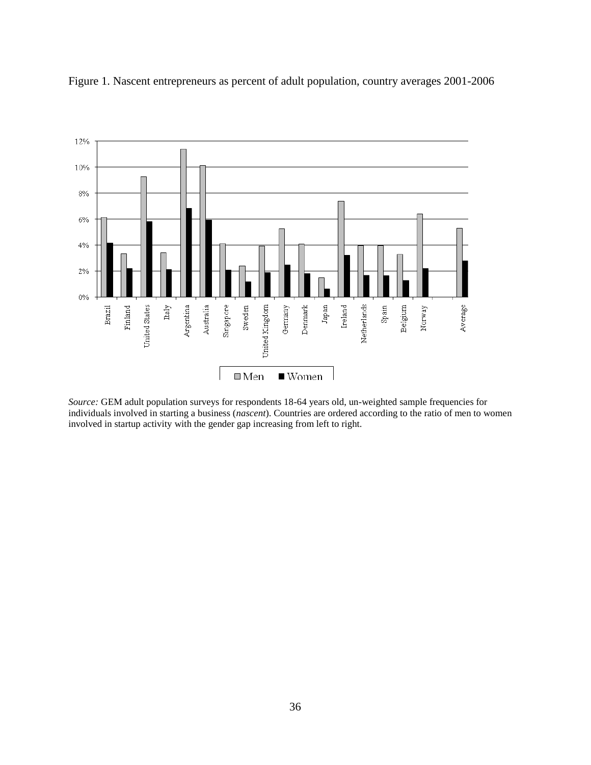

Figure 1. Nascent entrepreneurs as percent of adult population, country averages 2001-2006

*Source:* GEM adult population surveys for respondents 18-64 years old, un-weighted sample frequencies for individuals involved in starting a business (*nascent*). Countries are ordered according to the ratio of men to women involved in startup activity with the gender gap increasing from left to right.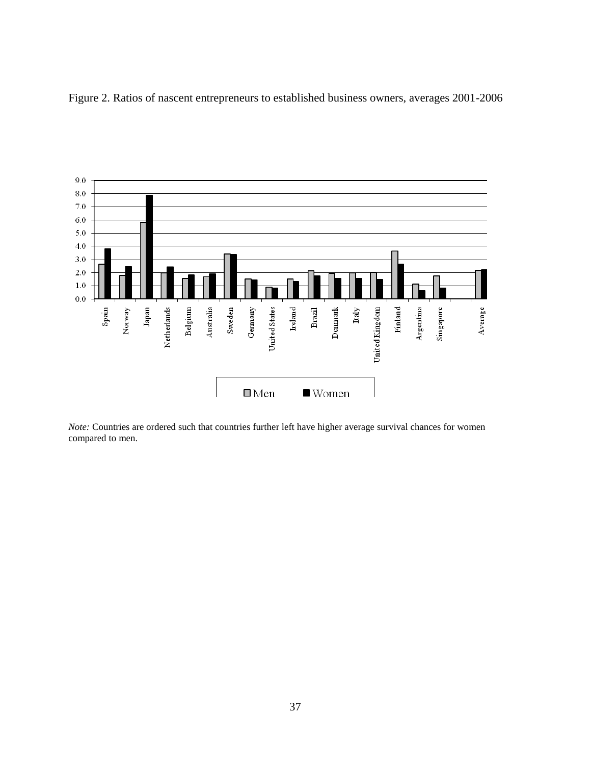Figure 2. Ratios of nascent entrepreneurs to established business owners, averages 2001-2006



*Note:* Countries are ordered such that countries further left have higher average survival chances for women compared to men.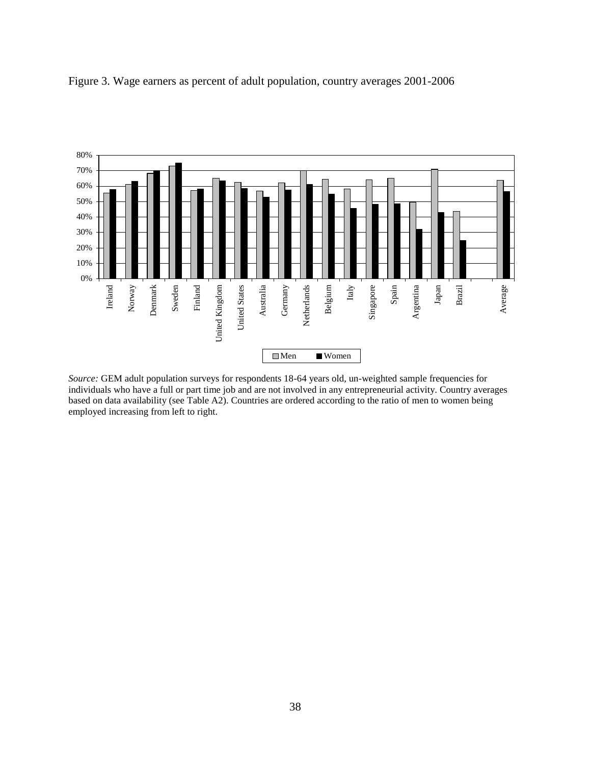

Figure 3. Wage earners as percent of adult population, country averages 2001-2006

*Source:* GEM adult population surveys for respondents 18-64 years old, un-weighted sample frequencies for individuals who have a full or part time job and are not involved in any entrepreneurial activity. Country averages based on data availability (see Table A2). Countries are ordered according to the ratio of men to women being employed increasing from left to right.